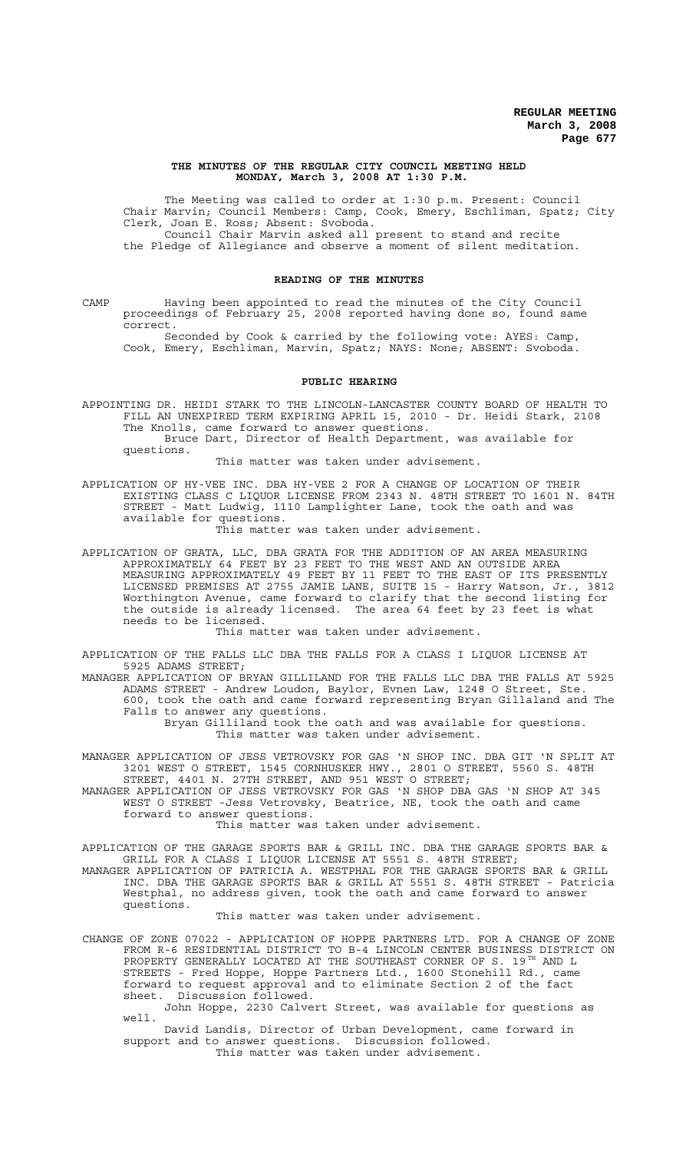#### **THE MINUTES OF THE REGULAR CITY COUNCIL MEETING HELD MONDAY, March 3, 2008 AT 1:30 P.M.**

The Meeting was called to order at 1:30 p.m. Present: Council Chair Marvin; Council Members: Camp, Cook, Emery, Eschliman, Spatz; City Clerk, Joan E. Ross; Absent: Svoboda. Council Chair Marvin asked all present to stand and recite the Pledge of Allegiance and observe a moment of silent meditation.

#### **READING OF THE MINUTES**

CAMP Having been appointed to read the minutes of the City Council proceedings of February 25, 2008 reported having done so, found same correct.

Seconded by Cook & carried by the following vote: AYES: Camp, Cook, Emery, Eschliman, Marvin, Spatz; NAYS: None; ABSENT: Svoboda.

## **PUBLIC HEARING**

APPOINTING DR. HEIDI STARK TO THE LINCOLN-LANCASTER COUNTY BOARD OF HEALTH TO FILL AN UNEXPIRED TERM EXPIRING APRIL 15, 2010 - Dr. Heidi Stark, 2108 The Knolls, came forward to answer questions. Bruce Dart, Director of Health Department, was available for questions.

This matter was taken under advisement.

APPLICATION OF HY-VEE INC. DBA HY-VEE 2 FOR A CHANGE OF LOCATION OF THEIR EXISTING CLASS C LIQUOR LICENSE FROM 2343 N. 48TH STREET TO 1601 N. 84TH STREET - Matt Ludwig, 1110 Lamplighter Lane, took the oath and was available for questions.

This matter was taken under advisement.

APPLICATION OF GRATA, LLC, DBA GRATA FOR THE ADDITION OF AN AREA MEASURING APPROXIMATELY 64 FEET BY 23 FEET TO THE WEST AND AN OUTSIDE AREA MEASURING APPROXIMATELY 49 FEET BY 11 FEET TO THE EAST OF ITS PRESENTLY LICENSED PREMISES AT 2755 JAMIE LANE, SUITE 15 - Harry Watson, Jr., 3812 Worthington Avenue, came forward to clarify that the second listing for the outside is already licensed. The area 64 feet by 23 feet is what needs to be licensed.

This matter was taken under advisement.

APPLICATION OF THE FALLS LLC DBA THE FALLS FOR A CLASS I LIQUOR LICENSE AT 5925 ADAMS STREET;

MANAGER APPLICATION OF BRYAN GILLILAND FOR THE FALLS LLC DBA THE FALLS AT 5925 ADAMS STREET - Andrew Loudon, Baylor, Evnen Law, 1248 O Street, Ste. 600, took the oath and came forward representing Bryan Gillaland and The Falls to answer any questions. Bryan Gilliland took the oath and was available for questions.

This matter was taken under advisement.

- MANAGER APPLICATION OF JESS VETROVSKY FOR GAS 'N SHOP INC. DBA GIT 'N SPLIT AT 3201 WEST O STREET, 1545 CORNHUSKER HWY., 2801 O STREET, 5560 S. 48TH STREET, 4401 N. 27TH STREET, AND 951 WEST O STREET;
- MANAGER APPLICATION OF JESS VETROVSKY FOR GAS 'N SHOP DBA GAS 'N SHOP AT 345 WEST O STREET -Jess Vetrovsky, Beatrice, NE, took the oath and came forward to answer questions.

This matter was taken under advisement.

APPLICATION OF THE GARAGE SPORTS BAR & GRILL INC. DBA THE GARAGE SPORTS BAR & GRILL FOR A CLASS I LIQUOR LICENSE AT 5551 S. 48TH STREET; MANAGER APPLICATION OF PATRICIA A. WESTPHAL FOR THE GARAGE SPORTS BAR & GRILL

INC. DBA THE GARAGE SPORTS BAR & GRILL AT 5551 S. 48TH STREET - Patricia Westphal, no address given, took the oath and came forward to answer questions.

This matter was taken under advisement.

CHANGE OF ZONE 07022 - APPLICATION OF HOPPE PARTNERS LTD. FOR A CHANGE OF ZONE FROM R-6 RESIDENTIAL DISTRICT TO B-4 LINCOLN CENTER BUSINESS DISTRICT ON PROPERTY GENERALLY LOCATED AT THE SOUTHEAST CORNER OF S.  $19^{TH}$  AND L STREETS - Fred Hoppe, Hoppe Partners Ltd., 1600 Stonehill Rd., came forward to request approval and to eliminate Section 2 of the fact sheet. Discussion followed.

John Hoppe, 2230 Calvert Street, was available for questions as well.

David Landis, Director of Urban Development, came forward in support and to answer questions. Discussion followed. This matter was taken under advisement.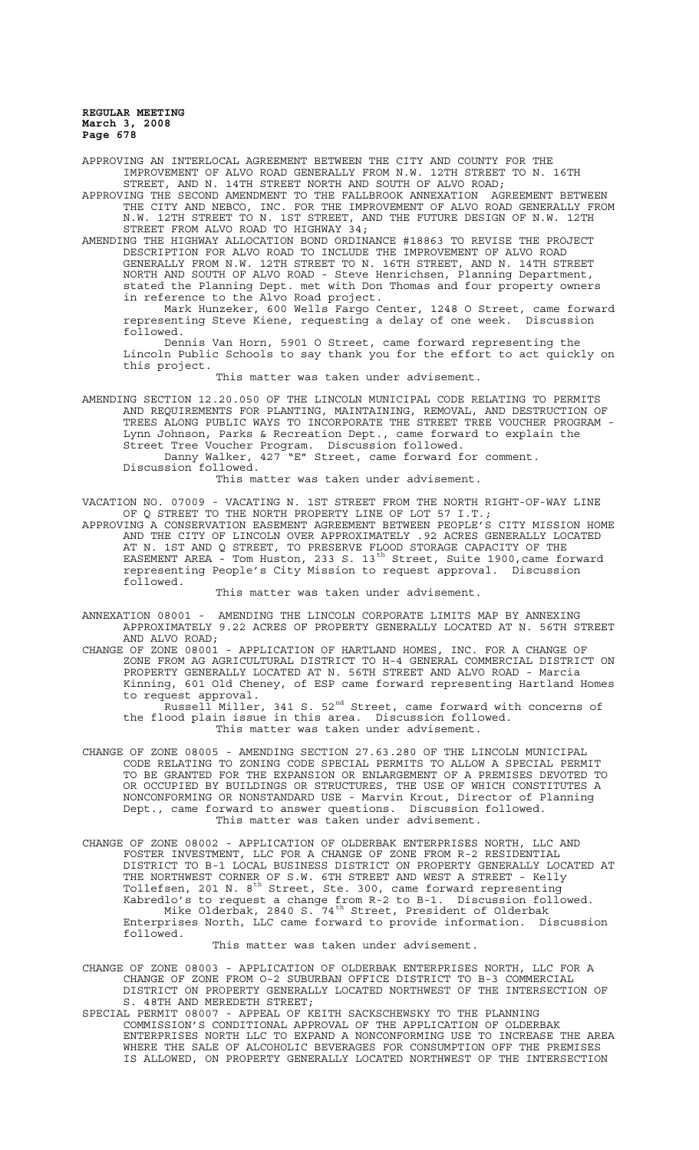APPROVING AN INTERLOCAL AGREEMENT BETWEEN THE CITY AND COUNTY FOR THE IMPROVEMENT OF ALVO ROAD GENERALLY FROM N.W. 12TH STREET TO N. 16TH STREET, AND N. 14TH STREET NORTH AND SOUTH OF ALVO ROAD;

APPROVING THE SECOND AMENDMENT TO THE FALLBROOK ANNEXATION AGREEMENT BETWEEN THE CITY AND NEBCO, INC. FOR THE IMPROVEMENT OF ALVO ROAD GENERALLY FROM N.W. 12TH STREET TO N. 1ST STREET, AND THE FUTURE DESIGN OF N.W. 12TH STREET FROM ALVO ROAD TO HIGHWAY 34;

AMENDING THE HIGHWAY ALLOCATION BOND ORDINANCE #18863 TO REVISE THE PROJECT DESCRIPTION FOR ALVO ROAD TO INCLUDE THE IMPROVEMENT OF ALVO ROAD GENERALLY FROM N.W. 12TH STREET TO N. 16TH STREET, AND N. 14TH STREET NORTH AND SOUTH OF ALVO ROAD - Steve Henrichsen, Planning Department, stated the Planning Dept. met with Don Thomas and four property owners in reference to the Alvo Road project.

Mark Hunzeker, 600 Wells Fargo Center, 1248 O Street, came forward representing Steve Kiene, requesting a delay of one week. Discussion followed.

Dennis Van Horn, 5901 O Street, came forward representing the Lincoln Public Schools to say thank you for the effort to act quickly on this project.

This matter was taken under advisement.

AMENDING SECTION 12.20.050 OF THE LINCOLN MUNICIPAL CODE RELATING TO PERMITS AND REQUIREMENTS FOR PLANTING, MAINTAINING, REMOVAL, AND DESTRUCTION OF TREES ALONG PUBLIC WAYS TO INCORPORATE THE STREET TREE VOUCHER PROGRAM - Lynn Johnson, Parks & Recreation Dept., came forward to explain the Street Tree Voucher Program. Discussion followed. Danny Walker, 427 "E" Street, came forward for comment.

Discussion followed.

This matter was taken under advisement.

VACATION NO. 07009 - VACATING N. 1ST STREET FROM THE NORTH RIGHT-OF-WAY LINE OF Q STREET TO THE NORTH PROPERTY LINE OF LOT 57 I.T.; OF Q STREET TO THE NORTH PROPERTY LINE OF LOT 57 I.T.; APPROVING A CONSERVATION EASEMENT AGREEMENT BETWEEN PEOPLE'S CITY MISSION HOME

AND THE CITY OF LINCOLN OVER APPROXIMATELY .92 ACRES GENERALLY LOCATED AT N. 1ST AND Q STREET, TO PRESERVE FLOOD STORAGE CAPACITY OF THE EASEMENT AREA - Tom Huston, 233 S. 13<sup>th</sup> Street, Suite 1900, came forward representing People's City Mission to request approval. Discussion followed.

This matter was taken under advisement.

ANNEXATION 08001 - AMENDING THE LINCOLN CORPORATE LIMITS MAP BY ANNEXING APPROXIMATELY 9.22 ACRES OF PROPERTY GENERALLY LOCATED AT N. 56TH STREET AND ALVO ROAD;

CHANGE OF ZONE 08001 - APPLICATION OF HARTLAND HOMES, INC. FOR A CHANGE OF ZONE FROM AG AGRICULTURAL DISTRICT TO H-4 GENERAL COMMERCIAL DISTRICT ON PROPERTY GENERALLY LOCATED AT N. 56TH STREET AND ALVO ROAD - Marcia Kinning, 601 Old Cheney, of ESP came forward representing Hartland Homes to request approval.

Russell Miller, 341 S. 52<sup>nd</sup> Street, came forward with concerns of the flood plain issue in this area. Discussion followed. This matter was taken under advisement.

CHANGE OF ZONE 08005 - AMENDING SECTION 27.63.280 OF THE LINCOLN MUNICIPAL CODE RELATING TO ZONING CODE SPECIAL PERMITS TO ALLOW A SPECIAL PERMIT TO BE GRANTED FOR THE EXPANSION OR ENLARGEMENT OF A PREMISES DEVOTED TO OR OCCUPIED BY BUILDINGS OR STRUCTURES, THE USE OF WHICH CONSTITUTES A NONCONFORMING OR NONSTANDARD USE - Marvin Krout, Director of Planning Dept., came forward to answer questions. Discussion followed. This matter was taken under advisement.

CHANGE OF ZONE 08002 - APPLICATION OF OLDERBAK ENTERPRISES NORTH, LLC AND FOSTER INVESTMENT, LLC FOR A CHANGE OF ZONE FROM R-2 RESIDENTIAL DISTRICT TO B-1 LOCAL BUSINESS DISTRICT ON PROPERTY GENERALLY LOCATED AT THE NORTHWEST CORNER OF S.W. 6TH STREET AND WEST A STREET - Kelly Tollefsen, 201 N. 8<sup>th</sup> Street, Ste. 300, came forward representing Kabredlo's to request a change from R-2 to B-1. Discussion followed. Mike Olderbak, 2840 S. 74<sup>th</sup> Street, President of Olderbak Enterprises North, LLC came forward to provide information. Discussion followed.

### This matter was taken under advisement.

CHANGE OF ZONE 08003 - APPLICATION OF OLDERBAK ENTERPRISES NORTH, LLC FOR A CHANGE OF ZONE FROM O-2 SUBURBAN OFFICE DISTRICT TO B-3 COMMERCIAL DISTRICT ON PROPERTY GENERALLY LOCATED NORTHWEST OF THE INTERSECTION OF S. 48TH AND MEREDETH STREET;

SPECIAL PERMIT 08007 - APPEAL OF KEITH SACKSCHEWSKY TO THE PLANNING COMMISSION'S CONDITIONAL APPROVAL OF THE APPLICATION OF OLDERBAK ENTERPRISES NORTH LLC TO EXPAND A NONCONFORMING USE TO INCREASE THE AREA WHERE THE SALE OF ALCOHOLIC BEVERAGES FOR CONSUMPTION OFF THE PREMISES IS ALLOWED, ON PROPERTY GENERALLY LOCATED NORTHWEST OF THE INTERSECTION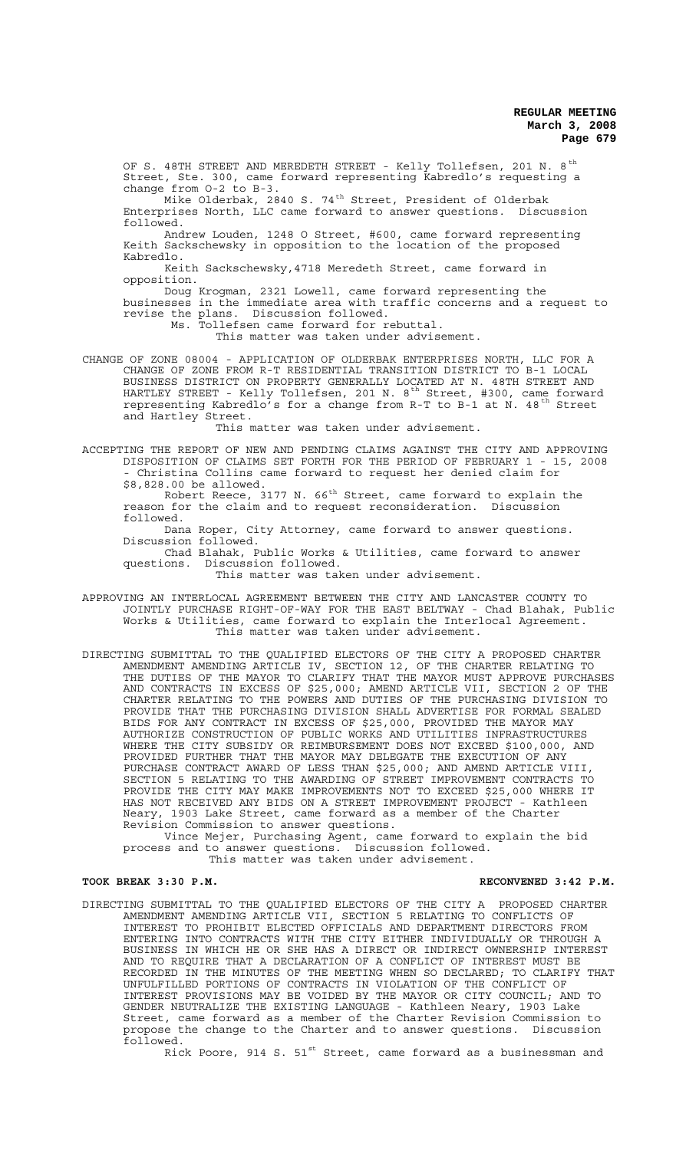OF S. 48TH STREET AND MEREDETH STREET - Kelly Tollefsen, 201 N. 8<sup>th</sup> Street, Ste. 300, came forward representing Kabredlo's requesting a change from O-2 to B-3.

Mike Olderbak, 2840 S. 74<sup>th</sup> Street, President of Olderbak Enterprises North, LLC came forward to answer questions. Discussion followed.

Andrew Louden, 1248 O Street, #600, came forward representing Keith Sackschewsky in opposition to the location of the proposed Kabredlo.

Keith Sackschewsky,4718 Meredeth Street, came forward in opposition.

Doug Krogman, 2321 Lowell, came forward representing the businesses in the immediate area with traffic concerns and a request to revise the plans. Discussion followed. Discussion followed.

Ms. Tollefsen came forward for rebuttal.

This matter was taken under advisement.

CHANGE OF ZONE 08004 - APPLICATION OF OLDERBAK ENTERPRISES NORTH, LLC FOR A CHANGE OF ZONE FROM R-T RESIDENTIAL TRANSITION DISTRICT TO B-1 LOCAL BUSINESS DISTRICT ON PROPERTY GENERALLY LOCATED AT N. 48TH STREET AND HARTLEY STREET - Kelly Tollefsen, 201 N. 8<sup>th</sup> Street, #300, came forward representing Kabredlo's for a change from R-T to B-1 at N. 48<sup>th</sup> Street and Hartley Street.

This matter was taken under advisement.

ACCEPTING THE REPORT OF NEW AND PENDING CLAIMS AGAINST THE CITY AND APPROVING DISPOSITION OF CLAIMS SET FORTH FOR THE PERIOD OF FEBRUARY 1 - 15, 2008 - Christina Collins came forward to request her denied claim for \$8,828.00 be allowed.

Robert Reece, 3177 N.  $66^{\text{th}}$  Street, came forward to explain the reason for the claim and to request reconsideration. Discussion followed.

Dana Roper, City Attorney, came forward to answer questions. Discussion followed.

Chad Blahak, Public Works & Utilities, came forward to answer questions. Discussion followed.

This matter was taken under advisement.

APPROVING AN INTERLOCAL AGREEMENT BETWEEN THE CITY AND LANCASTER COUNTY TO JOINTLY PURCHASE RIGHT-OF-WAY FOR THE EAST BELTWAY - Chad Blahak, Public Works & Utilities, came forward to explain the Interlocal Agreement. This matter was taken under advisement.

DIRECTING SUBMITTAL TO THE QUALIFIED ELECTORS OF THE CITY A PROPOSED CHARTER AMENDMENT AMENDING ARTICLE IV, SECTION 12, OF THE CHARTER RELATING TO THE DUTIES OF THE MAYOR TO CLARIFY THAT THE MAYOR MUST APPROVE PURCHASES AND CONTRACTS IN EXCESS OF \$25,000; AMEND ARTICLE VII, SECTION 2 OF THE CHARTER RELATING TO THE POWERS AND DUTIES OF THE PURCHASING DIVISION TO PROVIDE THAT THE PURCHASING DIVISION SHALL ADVERTISE FOR FORMAL SEALED BIDS FOR ANY CONTRACT IN EXCESS OF \$25,000, PROVIDED THE MAYOR MAY AUTHORIZE CONSTRUCTION OF PUBLIC WORKS AND UTILITIES INFRASTRUCTURES WHERE THE CITY SUBSIDY OR REIMBURSEMENT DOES NOT EXCEED \$100,000, AND PROVIDED FURTHER THAT THE MAYOR MAY DELEGATE THE EXECUTION OF ANY PURCHASE CONTRACT AWARD OF LESS THAN \$25,000; AND AMEND ARTICLE VIII, SECTION 5 RELATING TO THE AWARDING OF STREET IMPROVEMENT CONTRACTS TO PROVIDE THE CITY MAY MAKE IMPROVEMENTS NOT TO EXCEED \$25,000 WHERE IT HAS NOT RECEIVED ANY BIDS ON A STREET IMPROVEMENT PROJECT - Kathleen Neary, 1903 Lake Street, came forward as a member of the Charter Revision Commission to answer questions.

Vince Mejer, Purchasing Agent, came forward to explain the bid process and to answer questions. Discussion followed. This matter was taken under advisement.

## TOOK BREAK 3:30 P.M. **RECONVENED 3:42 P.M.**

DIRECTING SUBMITTAL TO THE QUALIFIED ELECTORS OF THE CITY A PROPOSED CHARTER AMENDMENT AMENDING ARTICLE VII, SECTION 5 RELATING TO CONFLICTS OF INTEREST TO PROHIBIT ELECTED OFFICIALS AND DEPARTMENT DIRECTORS FROM ENTERING INTO CONTRACTS WITH THE CITY EITHER INDIVIDUALLY OR THROUGH A BUSINESS IN WHICH HE OR SHE HAS A DIRECT OR INDIRECT OWNERSHIP INTEREST AND TO REQUIRE THAT A DECLARATION OF A CONFLICT OF INTEREST MUST BE RECORDED IN THE MINUTES OF THE MEETING WHEN SO DECLARED; TO CLARIFY THAT UNFULFILLED PORTIONS OF CONTRACTS IN VIOLATION OF THE CONFLICT OF INTEREST PROVISIONS MAY BE VOIDED BY THE MAYOR OR CITY COUNCIL; AND TO GENDER NEUTRALIZE THE EXISTING LANGUAGE - Kathleen Neary, 1903 Lake Street, came forward as a member of the Charter Revision Commission to propose the change to the Charter and to answer questions. Discussion followed.

Rick Poore, 914 S.  $51^{st}$  Street, came forward as a businessman and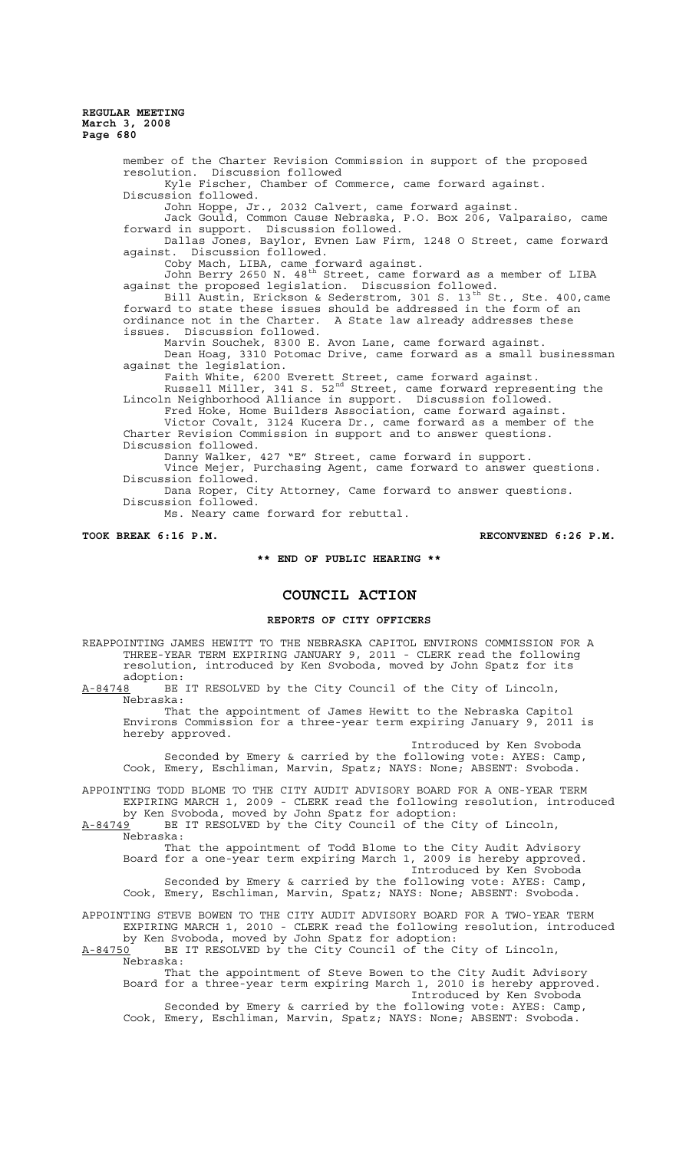> member of the Charter Revision Commission in support of the proposed resolution. Discussion followed Kyle Fischer, Chamber of Commerce, came forward against. Discussion followed. John Hoppe, Jr., 2032 Calvert, came forward against. Jack Gould, Common Cause Nebraska, P.O. Box 206, Valparaiso, came forward in support. Discussion followed. Dallas Jones, Baylor, Evnen Law Firm, 1248 O Street, came forward against. Discussion followed. Coby Mach, LIBA, came forward against. John Berry 2650 N. 48th Street, came forward as a member of LIBA against the proposed legislation. Discussion followed. Bill Austin, Erickson & Sederstrom, 301 S. 13<sup>th</sup> St., Ste. 400, came forward to state these issues should be addressed in the form of an ordinance not in the Charter. A State law already addresses these issues. Discussion followed. Marvin Souchek, 8300 E. Avon Lane, came forward against. Dean Hoag, 3310 Potomac Drive, came forward as a small businessman against the legislation. Faith White, 6200 Everett Street, came forward against. Russell Miller, 341 S. 52<sup>nd</sup> Street, came forward representing the Lincoln Neighborhood Alliance in support. Discussion followed. Fred Hoke, Home Builders Association, came forward against. Victor Covalt, 3124 Kucera Dr., came forward as a member of the Charter Revision Commission in support and to answer questions. Discussion followed. Danny Walker, 427 "E" Street, came forward in support. Vince Mejer, Purchasing Agent, came forward to answer questions. Discussion followed. Dana Roper, City Attorney, Came forward to answer questions. Discussion followed.

Ms. Neary came forward for rebuttal.

TOOK BREAK 6:16 P.M. **RECONVENED 6:26 P.M.** RECONVENED 6:26 P.M.

**\*\* END OF PUBLIC HEARING \*\***

# **COUNCIL ACTION**

#### **REPORTS OF CITY OFFICERS**

REAPPOINTING JAMES HEWITT TO THE NEBRASKA CAPITOL ENVIRONS COMMISSION FOR A THREE-YEAR TERM EXPIRING JANUARY 9, 2011 - CLERK read the following resolution, introduced by Ken Svoboda, moved by John Spatz for its

adoption:<br><u>A-84748</u> BE BE IT RESOLVED by the City Council of the City of Lincoln, Nebraska:

That the appointment of James Hewitt to the Nebraska Capitol Environs Commission for a three-year term expiring January 9, 2011 is hereby approved.

Introduced by Ken Svoboda Seconded by Emery & carried by the following vote: AYES: Camp, Cook, Emery, Eschliman, Marvin, Spatz; NAYS: None; ABSENT: Svoboda.

APPOINTING TODD BLOME TO THE CITY AUDIT ADVISORY BOARD FOR A ONE-YEAR TERM EXPIRING MARCH 1, 2009 - CLERK read the following resolution, introduced by Ken Svoboda, moved by John Spatz for adoption:

A-84749 BE IT RESOLVED by the City Council of the City of Lincoln,  $A-84749$  BE<br>Nebraska:

That the appointment of Todd Blome to the City Audit Advisory Board for a one-year term expiring March 1, 2009 is hereby approved. Introduced by Ken Svoboda Seconded by Emery & carried by the following vote: AYES: Camp, Cook, Emery, Eschliman, Marvin, Spatz; NAYS: None; ABSENT: Svoboda.

APPOINTING STEVE BOWEN TO THE CITY AUDIT ADVISORY BOARD FOR A TWO-YEAR TERM EXPIRING MARCH 1, 2010 - CLERK read the following resolution, introduced by Ken Svoboda, moved by John Spatz for adoption:

A-84750 BE IT RESOLVED by the City Council of the City of Lincoln, Nebraska:

That the appointment of Steve Bowen to the City Audit Advisory Board for a three-year term expiring March 1, 2010 is hereby approved. Introduced by Ken Svoboda Seconded by Emery & carried by the following vote: AYES: Camp, Cook, Emery, Eschliman, Marvin, Spatz; NAYS: None; ABSENT: Svoboda.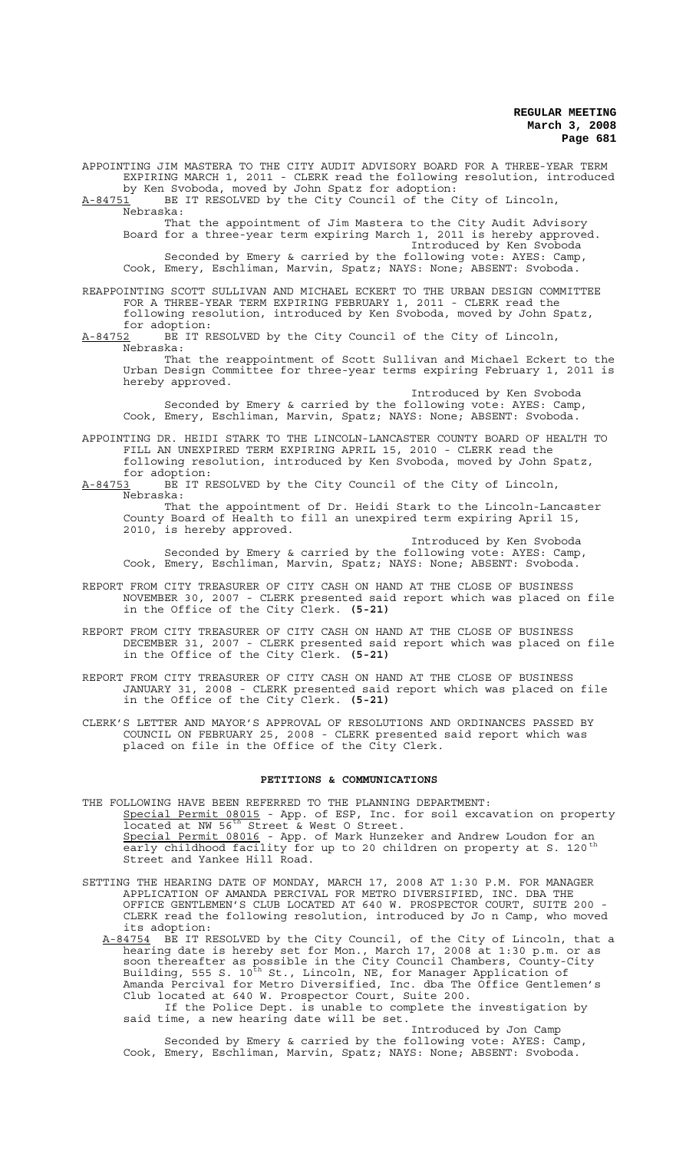APPOINTING JIM MASTERA TO THE CITY AUDIT ADVISORY BOARD FOR A THREE-YEAR TERM EXPIRING MARCH 1, 2011 - CLERK read the following resolution, introduced by Ken Svoboda, moved by John Spatz for adoption:  $A-84751$  BE IT RESOLVED by the City Council of the City of Lincoln, Nebraska: That the appointment of Jim Mastera to the City Audit Advisory Board for a three-year term expiring March 1, 2011 is hereby approved. Introduced by Ken Svoboda Seconded by Emery & carried by the following vote: AYES: Camp, Cook, Emery, Eschliman, Marvin, Spatz; NAYS: None; ABSENT: Svoboda. REAPPOINTING SCOTT SULLIVAN AND MICHAEL ECKERT TO THE URBAN DESIGN COMMITTEE FOR A THREE-YEAR TERM EXPIRING FEBRUARY 1, 2011 - CLERK read the following resolution, introduced by Ken Svoboda, moved by John Spatz, for adoption:<br>A-84752 BE IT RI BE IT RESOLVED by the City Council of the City of Lincoln, Nebraska: That the reappointment of Scott Sullivan and Michael Eckert to the

Urban Design Committee for three-year terms expiring February 1, 2011 is

hereby approved. Introduced by Ken Svoboda Seconded by Emery & carried by the following vote: AYES: Camp, Cook, Emery, Eschliman, Marvin, Spatz; NAYS: None; ABSENT: Svoboda.

APPOINTING DR. HEIDI STARK TO THE LINCOLN-LANCASTER COUNTY BOARD OF HEALTH TO FILL AN UNEXPIRED TERM EXPIRING APRIL 15, 2010 - CLERK read the following resolution, introduced by Ken Svoboda, moved by John Spatz, for adoption:<br>A-84753 BE IT R

BE IT RESOLVED by the City Council of the City of Lincoln, Nebraska:

That the appointment of Dr. Heidi Stark to the Lincoln-Lancaster County Board of Health to fill an unexpired term expiring April 15, 2010, is hereby approved.

Introduced by Ken Svoboda Seconded by Emery & carried by the following vote: AYES: Camp, Cook, Emery, Eschliman, Marvin, Spatz; NAYS: None; ABSENT: Svoboda.

- REPORT FROM CITY TREASURER OF CITY CASH ON HAND AT THE CLOSE OF BUSINESS NOVEMBER 30, 2007 - CLERK presented said report which was placed on file in the Office of the City Clerk. **(5-21)**
- REPORT FROM CITY TREASURER OF CITY CASH ON HAND AT THE CLOSE OF BUSINESS DECEMBER 31, 2007 - CLERK presented said report which was placed on file in the Office of the City Clerk. **(5-21)**
- REPORT FROM CITY TREASURER OF CITY CASH ON HAND AT THE CLOSE OF BUSINESS JANUARY 31, 2008 - CLERK presented said report which was placed on file in the Office of the City Clerk. **(5-21)**

CLERK'S LETTER AND MAYOR'S APPROVAL OF RESOLUTIONS AND ORDINANCES PASSED BY COUNCIL ON FEBRUARY 25, 2008 - CLERK presented said report which was placed on file in the Office of the City Clerk.

## **PETITIONS & COMMUNICATIONS**

THE FOLLOWING HAVE BEEN REFERRED TO THE PLANNING DEPARTMENT: Special Permit 08015 - App. of ESP, Inc. for soil excavation on property located at NW 56<sup>th</sup> Street & West O Street. Special Permit 08016 - App. of Mark Hunzeker and Andrew Loudon for an early childhood facility for up to 20 children on property at S. 120<sup>th</sup> Street and Yankee Hill Road.

SETTING THE HEARING DATE OF MONDAY, MARCH 17, 2008 AT 1:30 P.M. FOR MANAGER APPLICATION OF AMANDA PERCIVAL FOR METRO DIVERSIFIED, INC. DBA THE OFFICE GENTLEMEN'S CLUB LOCATED AT 640 W. PROSPECTOR COURT, SUITE 200 CLERK read the following resolution, introduced by Jo n Camp, who moved its adoption:

A-84754 BE IT RESOLVED by the City Council, of the City of Lincoln, that a hearing date is hereby set for Mon., March 17, 2008 at 1:30 p.m. or as soon thereafter as possible in the City Council Chambers, County-City Building, 555 S. 10<sup>th</sup> St., Lincoln, NE, for Manager Application of Amanda Percival for Metro Diversified, Inc. dba The Office Gentlemen's Club located at 640 W. Prospector Court, Suite 200. If the Police Dept. is unable to complete the investigation by

said time, a new hearing date will be set. Introduced by Jon Camp Seconded by Emery & carried by the following vote: AYES: Camp,

Cook, Emery, Eschliman, Marvin, Spatz; NAYS: None; ABSENT: Svoboda.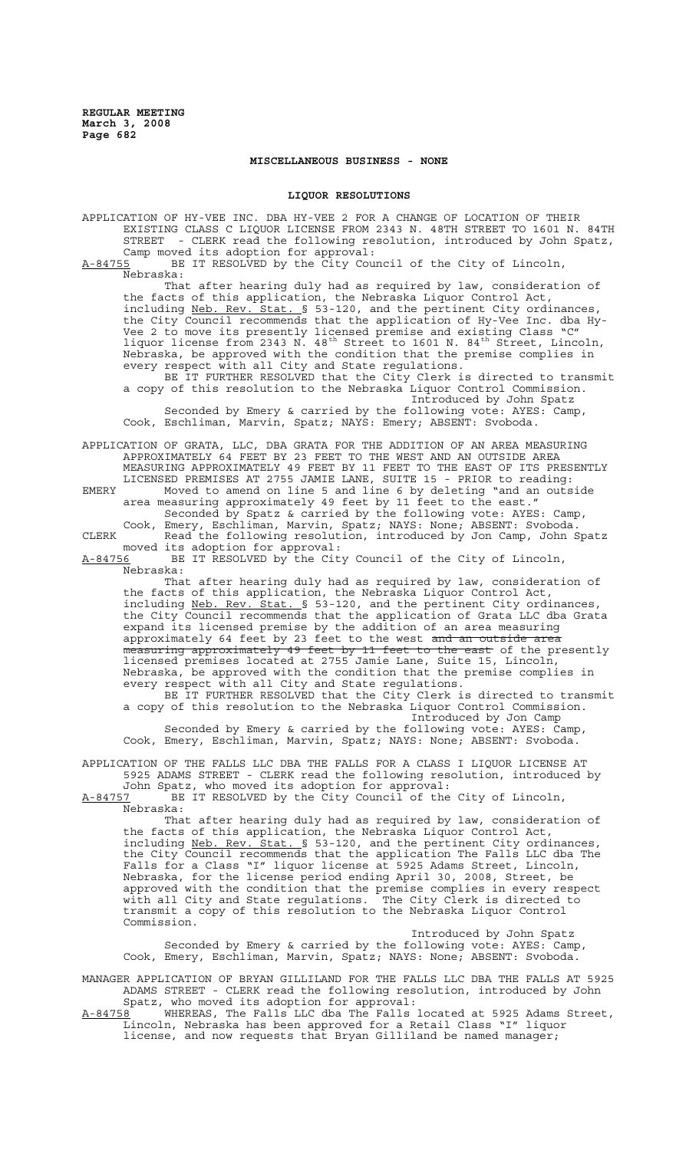## **MISCELLANEOUS BUSINESS - NONE**

### **LIQUOR RESOLUTIONS**

APPLICATION OF HY-VEE INC. DBA HY-VEE 2 FOR A CHANGE OF LOCATION OF THEIR EXISTING CLASS C LIQUOR LICENSE FROM 2343 N. 48TH STREET TO 1601 N. 84TH STREET - CLERK read the following resolution, introduced by John Spatz, Camp moved its adoption for approval:<br>A-84755 BE IT RESOLVED by the City Cou BE IT RESOLVED by the City Council of the City of Lincoln,

Nebraska:

That after hearing duly had as required by law, consideration of the facts of this application, the Nebraska Liquor Control Act, including Neb. Rev. Stat. § 53-120, and the pertinent City ordinances, the City Council recommends that the application of Hy-Vee Inc. dba Hy-Vee 2 to move its presently licensed premise and existing Class "C" liquor license from 2343 N. 48<sup>th</sup> Street to 1601 N. 84<sup>th</sup> Street, Lincoln, Nebraska, be approved with the condition that the premise complies in every respect with all City and State regulations.

BE IT FURTHER RESOLVED that the City Clerk is directed to transmit a copy of this resolution to the Nebraska Liquor Control Commission. Introduced by John Spatz Seconded by Emery & carried by the following vote: AYES: Camp, Cook, Eschliman, Marvin, Spatz; NAYS: Emery; ABSENT: Svoboda.

APPLICATION OF GRATA, LLC, DBA GRATA FOR THE ADDITION OF AN AREA MEASURING APPROXIMATELY 64 FEET BY 23 FEET TO THE WEST AND AN OUTSIDE AREA MEASURING APPROXIMATELY 49 FEET BY 11 FEET TO THE EAST OF ITS PRESENTLY LICENSED PREMISES AT 2755 JAMIE LANE, SUITE 15 - PRIOR to reading:

EMERY Moved to amend on line 5 and line 6 by deleting "and an outside area measuring approximately 49 feet by 11 feet to the east." Seconded by Spatz & carried by the following vote: AYES: Camp, Cook, Emery, Eschliman, Marvin, Spatz; NAYS: None; ABSENT: Svoboda.

CLERK Read the following resolution, introduced by Jon Camp, John Spatz moved its adoption for approval:

A-84756 BE IT RESOLVED by the City Council of the City of Lincoln, Nebraska:

That after hearing duly had as required by law, consideration of the facts of this application, the Nebraska Liquor Control Act, including Neb. Rev. Stat. § 53-120, and the pertinent City ordinances, the City Council recommends that the application of Grata LLC dba Grata expand its licensed premise by the addition of an area measuring approximately 64 feet by 23 feet to the west <del>and an outside area</del> measuring approximately 49 feet by 11 feet to the east of the presently licensed premises located at 2755 Jamie Lane, Suite 15, Lincoln, Nebraska, be approved with the condition that the premise complies in every respect with all City and State regulations.

BE IT FURTHER RESOLVED that the City Clerk is directed to transmit a copy of this resolution to the Nebraska Liquor Control Commission. Introduced by Jon Camp

Seconded by Emery & carried by the following vote: AYES: Camp, Cook, Emery, Eschliman, Marvin, Spatz; NAYS: None; ABSENT: Svoboda.

APPLICATION OF THE FALLS LLC DBA THE FALLS FOR A CLASS I LIQUOR LICENSE AT 5925 ADAMS STREET - CLERK read the following resolution, introduced by

John Spatz, who moved its adoption for approval: A-84757 BE IT RESOLVED by the City Council of the City of Lincoln, Nebraska:

That after hearing duly had as required by law, consideration of the facts of this application, the Nebraska Liquor Control Act, including Neb. Rev. Stat. § 53-120, and the pertinent City ordinances, the City Council recommends that the application The Falls LLC dba The Falls for a Class "I" liquor license at 5925 Adams Street, Lincoln, Nebraska, for the license period ending April 30, 2008, Street, be approved with the condition that the premise complies in every respect with all City and State regulations. The City Clerk is directed to transmit a copy of this resolution to the Nebraska Liquor Control Commission.

Introduced by John Spatz Seconded by Emery & carried by the following vote: AYES: Camp, Cook, Emery, Eschliman, Marvin, Spatz; NAYS: None; ABSENT: Svoboda.

MANAGER APPLICATION OF BRYAN GILLILAND FOR THE FALLS LLC DBA THE FALLS AT 5925 ADAMS STREET - CLERK read the following resolution, introduced by John Spatz, who moved its adoption for approval:

A-84758 WHEREAS, The Falls LLC dba The Falls located at 5925 Adams Street, Lincoln, Nebraska has been approved for a Retail Class "I" liquor license, and now requests that Bryan Gilliland be named manager;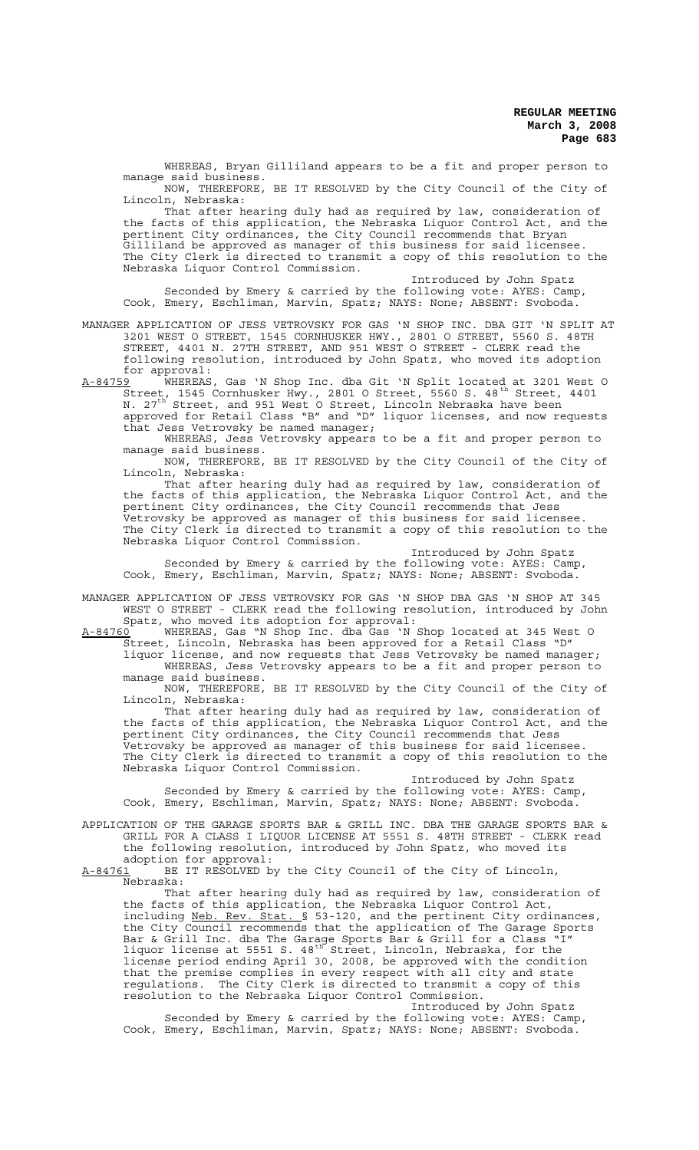WHEREAS, Bryan Gilliland appears to be a fit and proper person to manage said business.

NOW, THEREFORE, BE IT RESOLVED by the City Council of the City of Lincoln, Nebraska:

That after hearing duly had as required by law, consideration of the facts of this application, the Nebraska Liquor Control Act, and the pertinent City ordinances, the City Council recommends that Bryan Gilliland be approved as manager of this business for said licensee. The City Clerk is directed to transmit a copy of this resolution to the Nebraska Liquor Control Commission.

Introduced by John Spatz Seconded by Emery & carried by the following vote: AYES: Camp, Cook, Emery, Eschliman, Marvin, Spatz; NAYS: None; ABSENT: Svoboda.

MANAGER APPLICATION OF JESS VETROVSKY FOR GAS 'N SHOP INC. DBA GIT 'N SPLIT AT 3201 WEST O STREET, 1545 CORNHUSKER HWY., 2801 O STREET, 5560 S. 48TH STREET, 4401 N. 27TH STREET, AND 951 WEST O STREET - CLERK read the following resolution, introduced by John Spatz, who moved its adoption for approval:<br>A-84759 WHEREAS

A-84759 WHEREAS, Gas 'N Shop Inc. dba Git 'N Split located at 3201 West O Street, 1545 Cornhusker Hwy., 2801 O Street, 5560 S. 48<sup>th</sup> Street, 4401 N. 27<sup>th</sup> Street, and 951 West O Street, Lincoln Nebraska have been

approved for Retail Class "B" and "D" liquor licenses, and now requests that Jess Vetrovsky be named manager;

WHEREAS, Jess Vetrovsky appears to be a fit and proper person to manage said business.

NOW, THEREFORE, BE IT RESOLVED by the City Council of the City of Lincoln, Nebraska:

That after hearing duly had as required by law, consideration of the facts of this application, the Nebraska Liquor Control Act, and the pertinent City ordinances, the City Council recommends that Jess Vetrovsky be approved as manager of this business for said licensee. The City Clerk is directed to transmit a copy of this resolution to the Nebraska Liquor Control Commission.

Introduced by John Spatz

Seconded by Emery & carried by the following vote: AYES: Camp, Cook, Emery, Eschliman, Marvin, Spatz; NAYS: None; ABSENT: Svoboda.

MANAGER APPLICATION OF JESS VETROVSKY FOR GAS 'N SHOP DBA GAS 'N SHOP AT 345 WEST O STREET - CLERK read the following resolution, introduced by John Spatz, who moved its adoption for approval:<br>A-84760 WHEREAS, Gas "N Shop Inc. dba Gas 'N

A-84760 WHEREAS, Gas "N Shop Inc. dba Gas 'N Shop located at 345 West O Street, Lincoln, Nebraska has been approved for a Retail Class "D" liquor license, and now requests that Jess Vetrovsky be named manager;

WHEREAS, Jess Vetrovsky appears to be a fit and proper person to manage said business.

NOW, THEREFORE, BE IT RESOLVED by the City Council of the City of Lincoln, Nebraska:

That after hearing duly had as required by law, consideration of the facts of this application, the Nebraska Liquor Control Act, and the pertinent City ordinances, the City Council recommends that Jess Vetrovsky be approved as manager of this business for said licensee. The City Clerk is directed to transmit a copy of this resolution to the Nebraska Liquor Control Commission.

Introduced by John Spatz Seconded by Emery & carried by the following vote: AYES: Camp, Cook, Emery, Eschliman, Marvin, Spatz; NAYS: None; ABSENT: Svoboda.

APPLICATION OF THE GARAGE SPORTS BAR & GRILL INC. DBA THE GARAGE SPORTS BAR & GRILL FOR A CLASS I LIQUOR LICENSE AT 5551 S. 48TH STREET - CLERK read the following resolution, introduced by John Spatz, who moved its adoption for approval:<br>A-84761 BE IT RESOLVED b

BE IT RESOLVED by the City Council of the City of Lincoln, Nebraska:

That after hearing duly had as required by law, consideration of the facts of this application, the Nebraska Liquor Control Act, including Neb. Rev. Stat. § 53-120, and the pertinent City ordinances, the City Council recommends that the application of The Garage Sports Bar & Grill Inc. dba The Garage Sports Bar & Grill for a Class "I" liquor license at 5551 S. 48<sup>th</sup> Street, Lincoln, Nebraska, for the license period ending April 30, 2008, be approved with the condition that the premise complies in every respect with all city and state regulations. The City Clerk is directed to transmit a copy of this resolution to the Nebraska Liquor Control Commission.

Introduced by John Spatz Seconded by Emery & carried by the following vote: AYES: Camp, Cook, Emery, Eschliman, Marvin, Spatz; NAYS: None; ABSENT: Svoboda.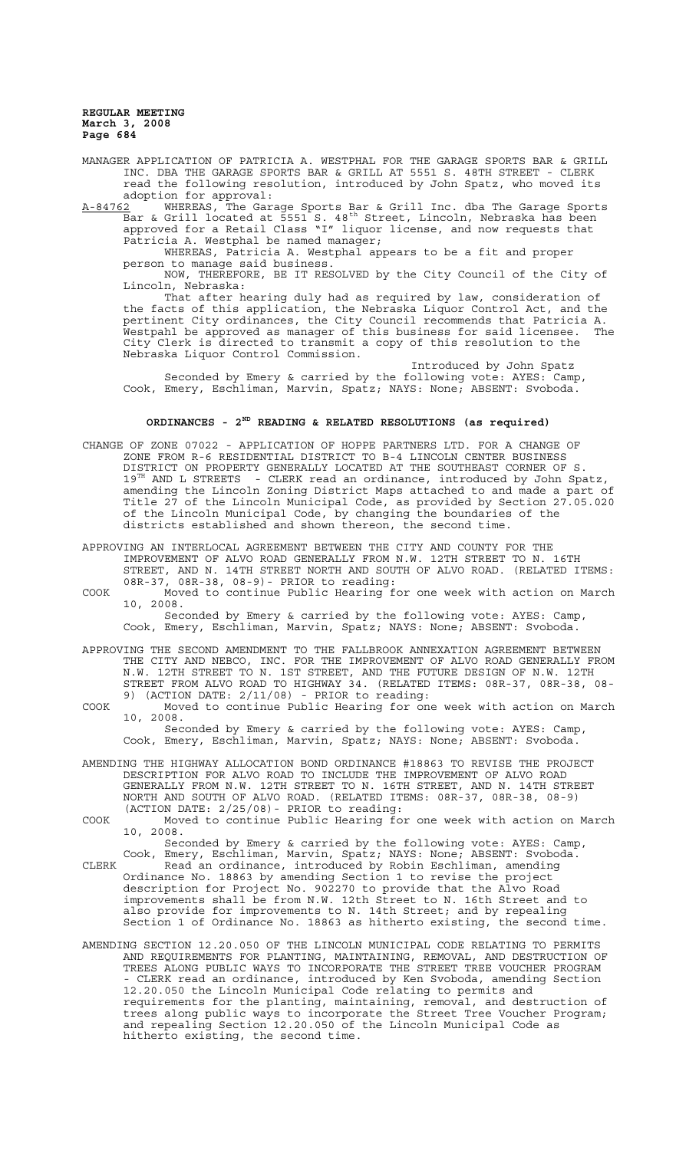MANAGER APPLICATION OF PATRICIA A. WESTPHAL FOR THE GARAGE SPORTS BAR & GRILL INC. DBA THE GARAGE SPORTS BAR & GRILL AT 5551 S. 48TH STREET - CLERK read the following resolution, introduced by John Spatz, who moved its adoption for approval:

A-84762 WHEREAS, The Garage Sports Bar & Grill Inc. dba The Garage Sports Bar & Grill located at 5551 S. 48th Street, Lincoln, Nebraska has been approved for a Retail Class "I" liquor license, and now requests that Patricia A. Westphal be named manager;

WHEREAS, Patricia A. Westphal appears to be a fit and proper person to manage said business.

NOW, THEREFORE, BE IT RESOLVED by the City Council of the City of Lincoln, Nebraska:

That after hearing duly had as required by law, consideration of the facts of this application, the Nebraska Liquor Control Act, and the pertinent City ordinances, the City Council recommends that Patricia A. Westpahl be approved as manager of this business for said licensee. The City Clerk is directed to transmit a copy of this resolution to the Nebraska Liquor Control Commission.

Introduced by John Spatz Seconded by Emery & carried by the following vote: AYES: Camp, Cook, Emery, Eschliman, Marvin, Spatz; NAYS: None; ABSENT: Svoboda.

# **ORDINANCES - 2ND READING & RELATED RESOLUTIONS (as required)**

CHANGE OF ZONE 07022 - APPLICATION OF HOPPE PARTNERS LTD. FOR A CHANGE OF ZONE FROM R-6 RESIDENTIAL DISTRICT TO B-4 LINCOLN CENTER BUSINESS DISTRICT ON PROPERTY GENERALLY LOCATED AT THE SOUTHEAST CORNER OF S. 19<sup>TH</sup> AND L STREETS - CLERK read an ordinance, introduced by John Spatz, amending the Lincoln Zoning District Maps attached to and made a part of Title 27 of the Lincoln Municipal Code, as provided by Section 27.05.020 of the Lincoln Municipal Code, by changing the boundaries of the districts established and shown thereon, the second time.

APPROVING AN INTERLOCAL AGREEMENT BETWEEN THE CITY AND COUNTY FOR THE IMPROVEMENT OF ALVO ROAD GENERALLY FROM N.W. 12TH STREET TO N. 16TH STREET, AND N. 14TH STREET NORTH AND SOUTH OF ALVO ROAD. (RELATED ITEMS: 08R-37, 08R-38, 08-9)- PRIOR to reading:

COOK Moved to continue Public Hearing for one week with action on March 10, 2008.

Seconded by Emery & carried by the following vote: AYES: Camp, Cook, Emery, Eschliman, Marvin, Spatz; NAYS: None; ABSENT: Svoboda.

APPROVING THE SECOND AMENDMENT TO THE FALLBROOK ANNEXATION AGREEMENT BETWEEN THE CITY AND NEBCO, INC. FOR THE IMPROVEMENT OF ALVO ROAD GENERALLY FROM N.W. 12TH STREET TO N. 1ST STREET, AND THE FUTURE DESIGN OF N.W. 12TH STREET FROM ALVO ROAD TO HIGHWAY 34. (RELATED ITEMS: 08R-37, 08R-38, 08- 9) (ACTION DATE: 2/11/08) - PRIOR to reading:

COOK Moved to continue Public Hearing for one week with action on March 10, 2008.

Seconded by Emery & carried by the following vote: AYES: Camp, Cook, Emery, Eschliman, Marvin, Spatz; NAYS: None; ABSENT: Svoboda.

AMENDING THE HIGHWAY ALLOCATION BOND ORDINANCE #18863 TO REVISE THE PROJECT DESCRIPTION FOR ALVO ROAD TO INCLUDE THE IMPROVEMENT OF ALVO ROAD GENERALLY FROM N.W. 12TH STREET TO N. 16TH STREET, AND N. 14TH STREET NORTH AND SOUTH OF ALVO ROAD. (RELATED ITEMS: 08R-37, 08R-38, 08-9) (ACTION DATE: 2/25/08)- PRIOR to reading:

COOK Moved to continue Public Hearing for one week with action on March 10, 2008.

Seconded by Emery & carried by the following vote: AYES: Camp, Cook, Emery, Eschliman, Marvin, Spatz; NAYS: None; ABSENT: Svoboda.

CLERK Read an ordinance, introduced by Robin Eschliman, amending Ordinance No. 18863 by amending Section 1 to revise the project description for Project No. 902270 to provide that the Alvo Road improvements shall be from N.W. 12th Street to N. 16th Street and to also provide for improvements to N. 14th Street; and by repealing Section 1 of Ordinance No. 18863 as hitherto existing, the second time.

AMENDING SECTION 12.20.050 OF THE LINCOLN MUNICIPAL CODE RELATING TO PERMITS AND REQUIREMENTS FOR PLANTING, MAINTAINING, REMOVAL, AND DESTRUCTION OF TREES ALONG PUBLIC WAYS TO INCORPORATE THE STREET TREE VOUCHER PROGRAM - CLERK read an ordinance, introduced by Ken Svoboda, amending Section 12.20.050 the Lincoln Municipal Code relating to permits and requirements for the planting, maintaining, removal, and destruction of trees along public ways to incorporate the Street Tree Voucher Program; and repealing Section 12.20.050 of the Lincoln Municipal Code as and repearing zooner.<br>hitherto existing, the second time.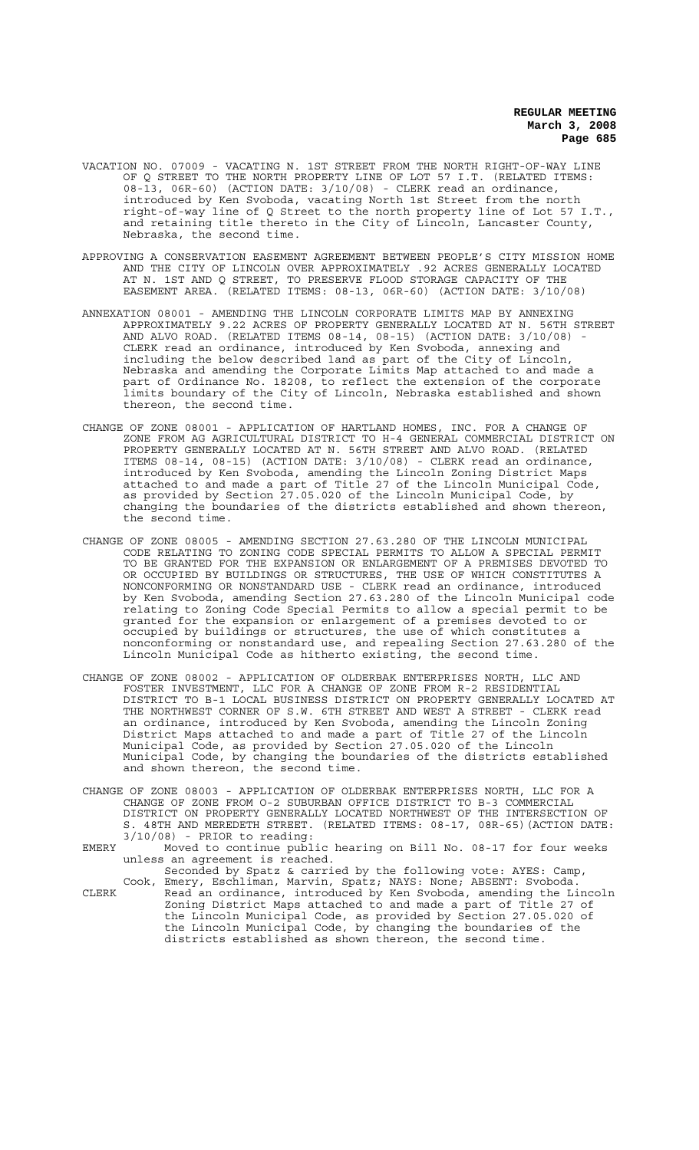- VACATION NO. 07009 VACATING N. 1ST STREET FROM THE NORTH RIGHT-OF-WAY LINE OF Q STREET TO THE NORTH PROPERTY LINE OF LOT 57 I.T. (RELATED ITEMS: 08-13, 06R-60) (ACTION DATE: 3/10/08) - CLERK read an ordinance, introduced by Ken Svoboda, vacating North 1st Street from the north right-of-way line of Q Street to the north property line of Lot 57 I.T., and retaining title thereto in the City of Lincoln, Lancaster County, Nebraska, the second time.
- APPROVING A CONSERVATION EASEMENT AGREEMENT BETWEEN PEOPLE'S CITY MISSION HOME AND THE CITY OF LINCOLN OVER APPROXIMATELY .92 ACRES GENERALLY LOCATED AT N. 1ST AND Q STREET, TO PRESERVE FLOOD STORAGE CAPACITY OF THE EASEMENT AREA. (RELATED ITEMS: 08-13, 06R-60) (ACTION DATE: 3/10/08)
- ANNEXATION 08001 AMENDING THE LINCOLN CORPORATE LIMITS MAP BY ANNEXING APPROXIMATELY 9.22 ACRES OF PROPERTY GENERALLY LOCATED AT N. 56TH STREET AND ALVO ROAD. (RELATED ITEMS  $08-14$ ,  $08-15$ ) (ACTION DATE:  $3/10/08$ ) CLERK read an ordinance, introduced by Ken Svoboda, annexing and including the below described land as part of the City of Lincoln, Nebraska and amending the Corporate Limits Map attached to and made a part of Ordinance No. 18208, to reflect the extension of the corporate limits boundary of the City of Lincoln, Nebraska established and shown thereon, the second time.
- CHANGE OF ZONE 08001 APPLICATION OF HARTLAND HOMES, INC. FOR A CHANGE OF ZONE FROM AG AGRICULTURAL DISTRICT TO H-4 GENERAL COMMERCIAL DISTRICT ON PROPERTY GENERALLY LOCATED AT N. 56TH STREET AND ALVO ROAD. (RELATED ITEMS 08-14, 08-15) (ACTION DATE: 3/10/08) - CLERK read an ordinance, introduced by Ken Svoboda, amending the Lincoln Zoning District Maps attached to and made a part of Title 27 of the Lincoln Municipal Code, as provided by Section 27.05.020 of the Lincoln Municipal Code, by changing the boundaries of the districts established and shown thereon, the second time.
- CHANGE OF ZONE 08005 AMENDING SECTION 27.63.280 OF THE LINCOLN MUNICIPAL CODE RELATING TO ZONING CODE SPECIAL PERMITS TO ALLOW A SPECIAL PERMIT TO BE GRANTED FOR THE EXPANSION OR ENLARGEMENT OF A PREMISES DEVOTED TO OR OCCUPIED BY BUILDINGS OR STRUCTURES, THE USE OF WHICH CONSTITUTES A NONCONFORMING OR NONSTANDARD USE - CLERK read an ordinance, introduced by Ken Svoboda, amending Section 27.63.280 of the Lincoln Municipal code relating to Zoning Code Special Permits to allow a special permit to be granted for the expansion or enlargement of a premises devoted to or occupied by buildings or structures, the use of which constitutes a nonconforming or nonstandard use, and repealing Section 27.63.280 of the Lincoln Municipal Code as hitherto existing, the second time.
- CHANGE OF ZONE 08002 APPLICATION OF OLDERBAK ENTERPRISES NORTH, LLC AND FOSTER INVESTMENT, LLC FOR A CHANGE OF ZONE FROM R-2 RESIDENTIAL DISTRICT TO B-1 LOCAL BUSINESS DISTRICT ON PROPERTY GENERALLY LOCATED AT THE NORTHWEST CORNER OF S.W. 6TH STREET AND WEST A STREET - CLERK read an ordinance, introduced by Ken Svoboda, amending the Lincoln Zoning District Maps attached to and made a part of Title 27 of the Lincoln Municipal Code, as provided by Section 27.05.020 of the Lincoln Municipal Code, by changing the boundaries of the districts established and shown thereon, the second time.
- CHANGE OF ZONE 08003 APPLICATION OF OLDERBAK ENTERPRISES NORTH, LLC FOR A CHANGE OF ZONE FROM O-2 SUBURBAN OFFICE DISTRICT TO B-3 COMMERCIAL DISTRICT ON PROPERTY GENERALLY LOCATED NORTHWEST OF THE INTERSECTION OF S. 48TH AND MEREDETH STREET. (RELATED ITEMS: 08-17, 08R-65)(ACTION DATE: 3/10/08) - PRIOR to reading:
- EMERY Moved to continue public hearing on Bill No. 08-17 for four weeks unless an agreement is reached.

Seconded by Spatz & carried by the following vote: AYES: Camp, Cook, Emery, Eschliman, Marvin, Spatz; NAYS: None; ABSENT: Svoboda. CLERK Read an ordinance, introduced by Ken Svoboda, amending the Lincoln Zoning District Maps attached to and made a part of Title 27 of the Lincoln Municipal Code, as provided by Section 27.05.020 of the Lincoln Municipal Code, by changing the boundaries of the districts established as shown thereon, the second time.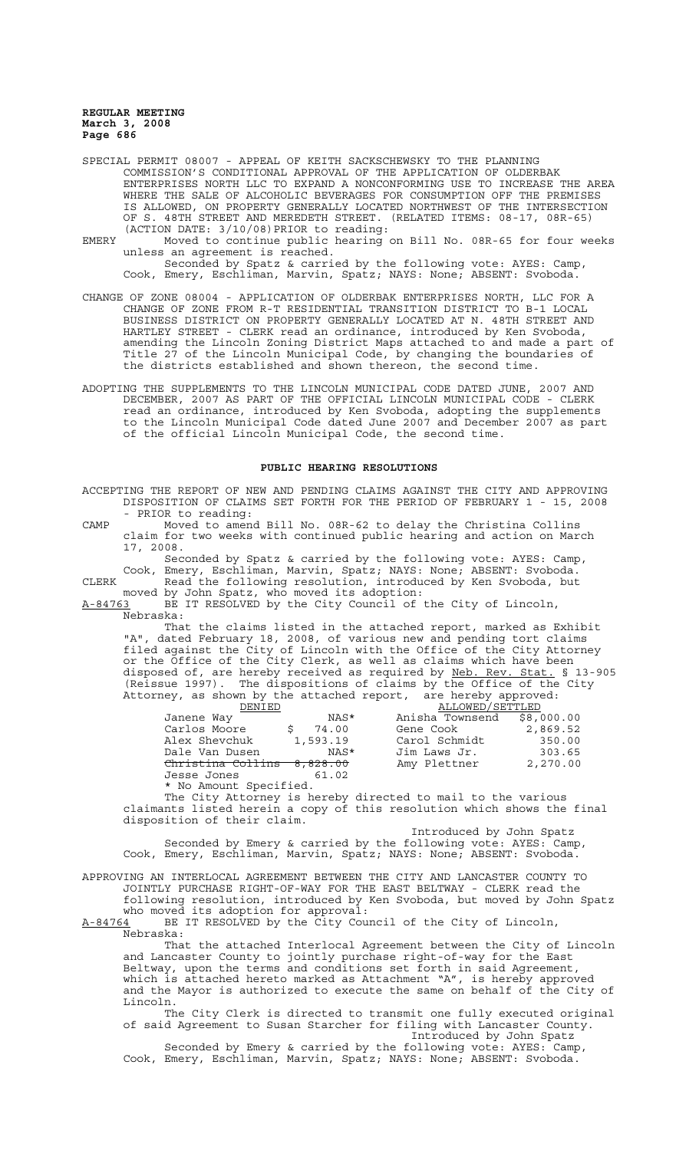SPECIAL PERMIT 08007 - APPEAL OF KEITH SACKSCHEWSKY TO THE PLANNING COMMISSION'S CONDITIONAL APPROVAL OF THE APPLICATION OF OLDERBAK ENTERPRISES NORTH LLC TO EXPAND A NONCONFORMING USE TO INCREASE THE AREA WHERE THE SALE OF ALCOHOLIC BEVERAGES FOR CONSUMPTION OFF THE PREMISES IS ALLOWED, ON PROPERTY GENERALLY LOCATED NORTHWEST OF THE INTERSECTION OF S. 48TH STREET AND MEREDETH STREET. (RELATED ITEMS: 08-17, 08R-65) (ACTION DATE: 3/10/08)PRIOR to reading:

EMERY Moved to continue public hearing on Bill No. 08R-65 for four weeks unless an agreement is reached. Seconded by Spatz & carried by the following vote: AYES: Camp, Cook, Emery, Eschliman, Marvin, Spatz; NAYS: None; ABSENT: Svoboda.

CHANGE OF ZONE 08004 - APPLICATION OF OLDERBAK ENTERPRISES NORTH, LLC FOR A CHANGE OF ZONE FROM R-T RESIDENTIAL TRANSITION DISTRICT TO B-1 LOCAL BUSINESS DISTRICT ON PROPERTY GENERALLY LOCATED AT N. 48TH STREET AND HARTLEY STREET - CLERK read an ordinance, introduced by Ken Svoboda, amending the Lincoln Zoning District Maps attached to and made a part of Title 27 of the Lincoln Municipal Code, by changing the boundaries of the districts established and shown thereon, the second time.

ADOPTING THE SUPPLEMENTS TO THE LINCOLN MUNICIPAL CODE DATED JUNE, 2007 AND DECEMBER, 2007 AS PART OF THE OFFICIAL LINCOLN MUNICIPAL CODE - CLERK read an ordinance, introduced by Ken Svoboda, adopting the supplements to the Lincoln Municipal Code dated June 2007 and December 2007 as part of the official Lincoln Municipal Code, the second time.

## **PUBLIC HEARING RESOLUTIONS**

ACCEPTING THE REPORT OF NEW AND PENDING CLAIMS AGAINST THE CITY AND APPROVING DISPOSITION OF CLAIMS SET FORTH FOR THE PERIOD OF FEBRUARY 1 - 15, 2008 PRIOR to reading: CAMP Moved to amend Bill No. 08R-62 to delay the Christina Collins claim for two weeks with continued public hearing and action on March 17, 2008. Seconded by Spatz & carried by the following vote: AYES: Camp, Cook, Emery, Eschliman, Marvin, Spatz; NAYS: None; ABSENT: Svoboda. CLERK Read the following resolution, introduced by Ken Svoboda, but moved by John Spatz, who moved its adoption: A-84763 BE IT RESOLVED by the City Council of the City of Lincoln,  $A-84763$  BE Nebraska: That the claims listed in the attached report, marked as Exhibit "A", dated February 18, 2008, of various new and pending tort claims filed against the City of Lincoln with the Office of the City Attorney or the Office of the City Clerk, as well as claims which have been disposed of, are hereby received as required by Neb. Rev. Stat. § 13-905 (Reissue 1997). The dispositions of claims by the Office of the City Attorney, as shown by the attached report, are hereby approved: DENIED ALLOWED/SETTLED Janene Way NAS\* Anisha Townsend \$8,000.00 Carlos Moore \$ 74.00 Gene Cook 2,869.52 Janene Way  $\begin{array}{l} \text{MAS*} \ \text{Carlos Moore} \ \text{S} \ \text{S} \ \text{Alex Shevchuk} \ \text{Slex Shevchuk} \ \text{Dale Van Dusen} \ \text{MAS*} \ \text{MAS*} \ \text{Jim Laws Jr.} \ \end{array} \begin{array}{l} \text{Amissal} \ \text{Fous.} \ \text{Bessus} \ \text{Carelos} \ \text{Bessus} \ \text{Carelos} \ \text{Bessus} \ \text{Bessus} \ \text{Alexus J:} \ \text{MAS*} \ \end{array} \begin{array}{l} \text{Amissal} \ \$ Dale Van Dusen NAS\* Jim Laws Jr. 303.65 Christina Collins 8,828.00 Amy Plettner 2,270.00 Jesse Jones 61.02 \* No Amount Specified. The City Attorney is hereby directed to mail to the various claimants listed herein a copy of this resolution which shows the final

disposition of their claim. Introduced by John Spatz Seconded by Emery & carried by the following vote: AYES: Camp,

Cook, Emery, Eschliman, Marvin, Spatz; NAYS: None; ABSENT: Svoboda.

APPROVING AN INTERLOCAL AGREEMENT BETWEEN THE CITY AND LANCASTER COUNTY TO JOINTLY PURCHASE RIGHT-OF-WAY FOR THE EAST BELTWAY - CLERK read the following resolution, introduced by Ken Svoboda, but moved by John Spatz who moved its adoption for approval:<br>A-84764 BE IT RESOLVED by the City Cour

BE IT RESOLVED by the City Council of the City of Lincoln, Nebraska:

That the attached Interlocal Agreement between the City of Lincoln and Lancaster County to jointly purchase right-of-way for the East Beltway, upon the terms and conditions set forth in said Agreement, which is attached hereto marked as Attachment "A", is hereby approved and the Mayor is authorized to execute the same on behalf of the City of Lincoln.

The City Clerk is directed to transmit one fully executed original of said Agreement to Susan Starcher for filing with Lancaster County. Introduced by John Spatz

Seconded by Emery & carried by the following vote: AYES: Camp, Cook, Emery, Eschliman, Marvin, Spatz; NAYS: None; ABSENT: Svoboda.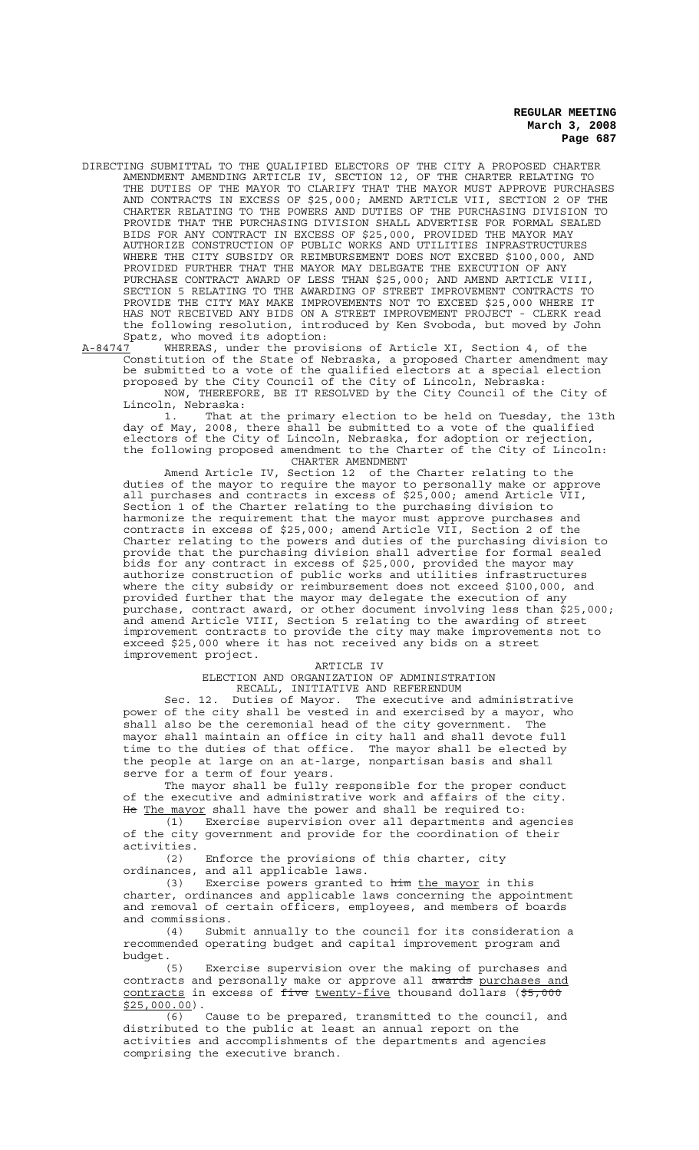DIRECTING SUBMITTAL TO THE QUALIFIED ELECTORS OF THE CITY A PROPOSED CHARTER AMENDMENT AMENDING ARTICLE IV, SECTION 12, OF THE CHARTER RELATING TO THE DUTIES OF THE MAYOR TO CLARIFY THAT THE MAYOR MUST APPROVE PURCHASES AND CONTRACTS IN EXCESS OF \$25,000; AMEND ARTICLE VII, SECTION 2 OF THE CHARTER RELATING TO THE POWERS AND DUTIES OF THE PURCHASING DIVISION TO PROVIDE THAT THE PURCHASING DIVISION SHALL ADVERTISE FOR FORMAL SEALED BIDS FOR ANY CONTRACT IN EXCESS OF \$25,000, PROVIDED THE MAYOR MAY AUTHORIZE CONSTRUCTION OF PUBLIC WORKS AND UTILITIES INFRASTRUCTURES WHERE THE CITY SUBSIDY OR REIMBURSEMENT DOES NOT EXCEED \$100,000, AND PROVIDED FURTHER THAT THE MAYOR MAY DELEGATE THE EXECUTION OF ANY PURCHASE CONTRACT AWARD OF LESS THAN \$25,000; AND AMEND ARTICLE VIII, SECTION 5 RELATING TO THE AWARDING OF STREET IMPROVEMENT CONTRACTS TO PROVIDE THE CITY MAY MAKE IMPROVEMENTS NOT TO EXCEED \$25,000 WHERE IT HAS NOT RECEIVED ANY BIDS ON A STREET IMPROVEMENT PROJECT - CLERK read the following resolution, introduced by Ken Svoboda, but moved by John Spatz, who moved its adoption:

A-84747 WHEREAS, under the provisions of Article XI, Section 4, of the Constitution of the State of Nebraska, a proposed Charter amendment may be submitted to a vote of the qualified electors at a special election proposed by the City Council of the City of Lincoln, Nebraska:

NOW, THEREFORE, BE IT RESOLVED by the City Council of the City of Lincoln, Nebraska:

1. That at the primary election to be held on Tuesday, the 13th day of May, 2008, there shall be submitted to a vote of the qualified electors of the City of Lincoln, Nebraska, for adoption or rejection, the following proposed amendment to the Charter of the City of Lincoln: CHARTER AMENDMENT

Amend Article IV, Section 12 of the Charter relating to the duties of the mayor to require the mayor to personally make or approve all purchases and contracts in excess of \$25,000; amend Article VII, Section 1 of the Charter relating to the purchasing division to harmonize the requirement that the mayor must approve purchases and contracts in excess of \$25,000; amend Article VII, Section 2 of the Charter relating to the powers and duties of the purchasing division to provide that the purchasing division shall advertise for formal sealed bids for any contract in excess of \$25,000, provided the mayor may authorize construction of public works and utilities infrastructures where the city subsidy or reimbursement does not exceed \$100,000, and provided further that the mayor may delegate the execution of any purchase, contract award, or other document involving less than \$25,000; and amend Article VIII, Section 5 relating to the awarding of street improvement contracts to provide the city may make improvements not to exceed \$25,000 where it has not received any bids on a street improvement project.

#### ARTICLE IV

ELECTION AND ORGANIZATION OF ADMINISTRATION RECALL, INITIATIVE AND REFERENDUM

Sec. 12. Duties of Mayor. The executive and administrative power of the city shall be vested in and exercised by a mayor, who shall also be the ceremonial head of the city government. The mayor shall maintain an office in city hall and shall devote full time to the duties of that office. The mayor shall be elected by the people at large on an at-large, nonpartisan basis and shall serve for a term of four years.

The mayor shall be fully responsible for the proper conduct of the executive and administrative work and affairs of the city. He The mayor shall have the power and shall be required to:

(1) Exercise supervision over all departments and agencies of the city government and provide for the coordination of their activities.

(2) Enforce the provisions of this charter, city ordinances, and all applicable laws.

(3) Exercise powers granted to him the mayor in this charter, ordinances and applicable laws concerning the appointment and removal of certain officers, employees, and members of boards and commissions.

(4) Submit annually to the council for its consideration a recommended operating budget and capital improvement program and budget.

(5) Exercise supervision over the making of purchases and contracts and personally make or approve all awards purchases and contracts in excess of five twenty-five thousand dollars (\$5,000 \$25,000.00).

(6) Cause to be prepared, transmitted to the council, and distributed to the public at least an annual report on the activities and accomplishments of the departments and agencies comprising the executive branch.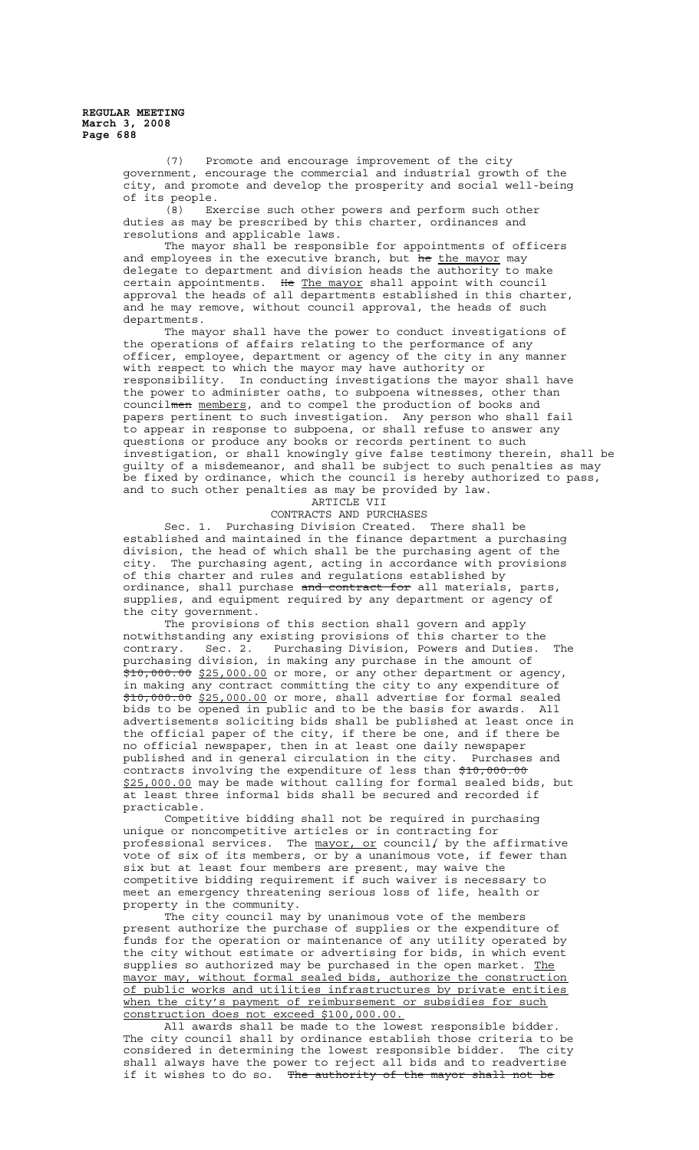(7) Promote and encourage improvement of the city government, encourage the commercial and industrial growth of the city, and promote and develop the prosperity and social well-being of its people.

(8) Exercise such other powers and perform such other duties as may be prescribed by this charter, ordinances and resolutions and applicable laws.

The mayor shall be responsible for appointments of officers and employees in the executive branch, but he the mayor may delegate to department and division heads the authority to make certain appointments. He The mayor shall appoint with council approval the heads of all departments established in this charter, and he may remove, without council approval, the heads of such departments.

The mayor shall have the power to conduct investigations of the operations of affairs relating to the performance of any officer, employee, department or agency of the city in any manner with respect to which the mayor may have authority or responsibility. In conducting investigations the mayor shall have the power to administer oaths, to subpoena witnesses, other than councilmen members, and to compel the production of books and papers pertinent to such investigation. Any person who shall fail to appear in response to subpoena, or shall refuse to answer any questions or produce any books or records pertinent to such investigation, or shall knowingly give false testimony therein, shall be guilty of a misdemeanor, and shall be subject to such penalties as may be fixed by ordinance, which the council is hereby authorized to pass, and to such other penalties as may be provided by law.

ARTICLE VII

CONTRACTS AND PURCHASES

Sec. 1. Purchasing Division Created. There shall be established and maintained in the finance department a purchasing division, the head of which shall be the purchasing agent of the city. The purchasing agent, acting in accordance with provisions of this charter and rules and regulations established by ordinance, shall purchase and contract for all materials, parts, supplies, and equipment required by any department or agency of the city government.

The provisions of this section shall govern and apply notwithstanding any existing provisions of this charter to the contrary. Sec. 2. Purchasing Division, Powers and Duties. The purchasing division, in making any purchase in the amount of \$10,000.00 \$25,000.00 or more, or any other department or agency, in making any contract committing the city to any expenditure of \$10,000.00 \$25,000.00 or more, shall advertise for formal sealed bids to be opened in public and to be the basis for awards. All advertisements soliciting bids shall be published at least once in the official paper of the city, if there be one, and if there be no official newspaper, then in at least one daily newspaper published and in general circulation in the city. Purchases and contracts involving the expenditure of less than \$10,000.00 \$25,000.00 may be made without calling for formal sealed bids, but at least three informal bids shall be secured and recorded if practicable.

Competitive bidding shall not be required in purchasing unique or noncompetitive articles or in contracting for professional services. The  $m$ ayor, or council/ by the affirmative vote of six of its members, or by a unanimous vote, if fewer than six but at least four members are present, may waive the competitive bidding requirement if such waiver is necessary to meet an emergency threatening serious loss of life, health or property in the community.

The city council may by unanimous vote of the members present authorize the purchase of supplies or the expenditure of funds for the operation or maintenance of any utility operated by the city without estimate or advertising for bids, in which event supplies so authorized may be purchased in the open market. The mayor may, without formal sealed bids, authorize the construction of public works and utilities infrastructures by private entities when the city's payment of reimbursement or subsidies for such construction does not exceed \$100,000.00.

All awards shall be made to the lowest responsible bidder. The city council shall by ordinance establish those criteria to be considered in determining the lowest responsible bidder. The city shall always have the power to reject all bids and to readvertise if it wishes to do so. The authority of the mayor shall not be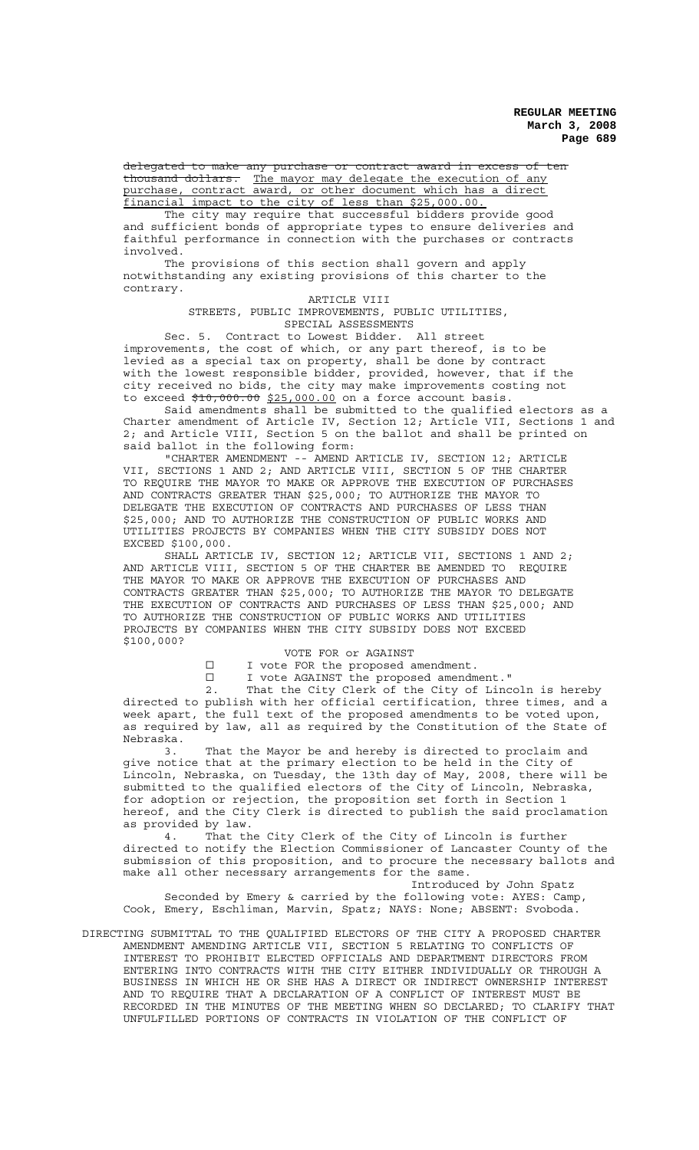delegated to make any purchase or contract award in excess of ten thousand dollars. The mayor may delegate the execution of any purchase, contract award, or other document which has a direct financial impact to the city of less than \$25,000.00. The city may require that successful bidders provide good

and sufficient bonds of appropriate types to ensure deliveries and faithful performance in connection with the purchases or contracts involved.

The provisions of this section shall govern and apply notwithstanding any existing provisions of this charter to the contrary.

## ARTICLE VIII STREETS, PUBLIC IMPROVEMENTS, PUBLIC UTILITIES, SPECIAL ASSESSMENTS

Sec. 5. Contract to Lowest Bidder. All street improvements, the cost of which, or any part thereof, is to be levied as a special tax on property, shall be done by contract with the lowest responsible bidder, provided, however, that if the city received no bids, the city may make improvements costing not to exceed  $$10,000.00 $25,000.00$  on a force account basis.

Said amendments shall be submitted to the qualified electors as a Charter amendment of Article IV, Section 12; Article VII, Sections 1 and 2; and Article VIII, Section 5 on the ballot and shall be printed on said ballot in the following form:

"CHARTER AMENDMENT -- AMEND ARTICLE IV, SECTION 12; ARTICLE VII, SECTIONS 1 AND 2; AND ARTICLE VIII, SECTION 5 OF THE CHARTER TO REQUIRE THE MAYOR TO MAKE OR APPROVE THE EXECUTION OF PURCHASES AND CONTRACTS GREATER THAN \$25,000; TO AUTHORIZE THE MAYOR TO DELEGATE THE EXECUTION OF CONTRACTS AND PURCHASES OF LESS THAN \$25,000; AND TO AUTHORIZE THE CONSTRUCTION OF PUBLIC WORKS AND UTILITIES PROJECTS BY COMPANIES WHEN THE CITY SUBSIDY DOES NOT EXCEED \$100,000.

SHALL ARTICLE IV, SECTION 12; ARTICLE VII, SECTIONS 1 AND 2; AND ARTICLE VIII, SECTION 5 OF THE CHARTER BE AMENDED TO REQUIRE THE MAYOR TO MAKE OR APPROVE THE EXECUTION OF PURCHASES AND CONTRACTS GREATER THAN \$25,000; TO AUTHORIZE THE MAYOR TO DELEGATE THE EXECUTION OF CONTRACTS AND PURCHASES OF LESS THAN \$25,000; AND TO AUTHORIZE THE CONSTRUCTION OF PUBLIC WORKS AND UTILITIES PROJECTS BY COMPANIES WHEN THE CITY SUBSIDY DOES NOT EXCEED \$100,000?

## VOTE FOR or AGAINST

I I vote FOR the proposed amendment.

G I vote AGAINST the proposed amendment."

2. That the City Clerk of the City of Lincoln is hereby directed to publish with her official certification, three times, and a week apart, the full text of the proposed amendments to be voted upon, as required by law, all as required by the Constitution of the State of Nebraska.

3. That the Mayor be and hereby is directed to proclaim and give notice that at the primary election to be held in the City of Lincoln, Nebraska, on Tuesday, the 13th day of May, 2008, there will be submitted to the qualified electors of the City of Lincoln, Nebraska, for adoption or rejection, the proposition set forth in Section 1 hereof, and the City Clerk is directed to publish the said proclamation as provided by law.

4. That the City Clerk of the City of Lincoln is further directed to notify the Election Commissioner of Lancaster County of the submission of this proposition, and to procure the necessary ballots and make all other necessary arrangements for the same.

Introduced by John Spatz Seconded by Emery & carried by the following vote: AYES: Camp, Cook, Emery, Eschliman, Marvin, Spatz; NAYS: None; ABSENT: Svoboda.

DIRECTING SUBMITTAL TO THE QUALIFIED ELECTORS OF THE CITY A PROPOSED CHARTER AMENDMENT AMENDING ARTICLE VII, SECTION 5 RELATING TO CONFLICTS OF INTEREST TO PROHIBIT ELECTED OFFICIALS AND DEPARTMENT DIRECTORS FROM ENTERING INTO CONTRACTS WITH THE CITY EITHER INDIVIDUALLY OR THROUGH A BUSINESS IN WHICH HE OR SHE HAS A DIRECT OR INDIRECT OWNERSHIP INTEREST AND TO REQUIRE THAT A DECLARATION OF A CONFLICT OF INTEREST MUST BE RECORDED IN THE MINUTES OF THE MEETING WHEN SO DECLARED; TO CLARIFY THAT UNFULFILLED PORTIONS OF CONTRACTS IN VIOLATION OF THE CONFLICT OF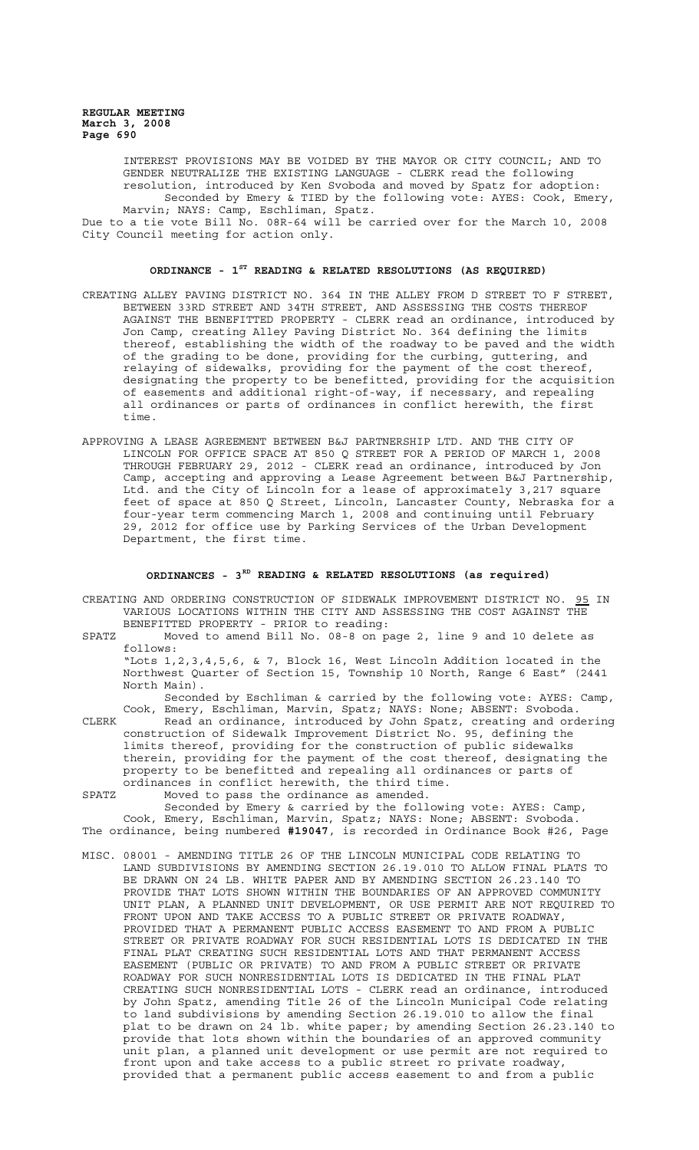INTEREST PROVISIONS MAY BE VOIDED BY THE MAYOR OR CITY COUNCIL; AND TO GENDER NEUTRALIZE THE EXISTING LANGUAGE - CLERK read the following resolution, introduced by Ken Svoboda and moved by Spatz for adoption: Seconded by Emery & TIED by the following vote: AYES: Cook, Emery,

Marvin; NAYS: Camp, Eschliman, Spatz. Due to a tie vote Bill No. 08R-64 will be carried over for the March 10, 2008 City Council meeting for action only.

# **ORDINANCE - 1ST READING & RELATED RESOLUTIONS (AS REQUIRED)**

- CREATING ALLEY PAVING DISTRICT NO. 364 IN THE ALLEY FROM D STREET TO F STREET, BETWEEN 33RD STREET AND 34TH STREET, AND ASSESSING THE COSTS THEREOF AGAINST THE BENEFITTED PROPERTY - CLERK read an ordinance, introduced by Jon Camp, creating Alley Paving District No. 364 defining the limits thereof, establishing the width of the roadway to be paved and the width of the grading to be done, providing for the curbing, guttering, and relaying of sidewalks, providing for the payment of the cost thereof, designating the property to be benefitted, providing for the acquisition of easements and additional right-of-way, if necessary, and repealing all ordinances or parts of ordinances in conflict herewith, the first time.
- APPROVING A LEASE AGREEMENT BETWEEN B&J PARTNERSHIP LTD. AND THE CITY OF LINCOLN FOR OFFICE SPACE AT 850 Q STREET FOR A PERIOD OF MARCH 1, 2008 THROUGH FEBRUARY 29, 2012 - CLERK read an ordinance, introduced by Jon Camp, accepting and approving a Lease Agreement between B&J Partnership, Ltd. and the City of Lincoln for a lease of approximately 3,217 square feet of space at 850 Q Street, Lincoln, Lancaster County, Nebraska for a four-year term commencing March 1, 2008 and continuing until February 29, 2012 for office use by Parking Services of the Urban Development Department, the first time.

#### **ORDINANCES - 3RD READING & RELATED RESOLUTIONS (as required)**

- CREATING AND ORDERING CONSTRUCTION OF SIDEWALK IMPROVEMENT DISTRICT NO. 95 IN VARIOUS LOCATIONS WITHIN THE CITY AND ASSESSING THE COST AGAINST THE BENEFITTED PROPERTY - PRIOR to reading:
- SPATZ Moved to amend Bill No. 08-8 on page 2, line 9 and 10 delete as follows:

"Lots 1,2,3,4,5,6, & 7, Block 16, West Lincoln Addition located in the Northwest Quarter of Section 15, Township 10 North, Range 6 East" (2441 North Main).

Seconded by Eschliman & carried by the following vote: AYES: Camp, Cook, Emery, Eschliman, Marvin, Spatz; NAYS: None; ABSENT: Svoboda.

CLERK Read an ordinance, introduced by John Spatz, creating and ordering construction of Sidewalk Improvement District No. 95, defining the limits thereof, providing for the construction of public sidewalks therein, providing for the payment of the cost thereof, designating the property to be benefitted and repealing all ordinances or parts of ordinances in conflict herewith, the third time.

SPATZ Moved to pass the ordinance as amended.

Seconded by Emery & carried by the following vote: AYES: Camp, Cook, Emery, Eschliman, Marvin, Spatz; NAYS: None; ABSENT: Svoboda. The ordinance, being numbered **#19047**, is recorded in Ordinance Book #26, Page

MISC. 08001 - AMENDING TITLE 26 OF THE LINCOLN MUNICIPAL CODE RELATING TO LAND SUBDIVISIONS BY AMENDING SECTION 26.19.010 TO ALLOW FINAL PLATS TO BE DRAWN ON 24 LB. WHITE PAPER AND BY AMENDING SECTION 26.23.140 TO PROVIDE THAT LOTS SHOWN WITHIN THE BOUNDARIES OF AN APPROVED COMMUNITY UNIT PLAN, A PLANNED UNIT DEVELOPMENT, OR USE PERMIT ARE NOT REQUIRED TO FRONT UPON AND TAKE ACCESS TO A PUBLIC STREET OR PRIVATE ROADWAY, PROVIDED THAT A PERMANENT PUBLIC ACCESS EASEMENT TO AND FROM A PUBLIC STREET OR PRIVATE ROADWAY FOR SUCH RESIDENTIAL LOTS IS DEDICATED IN THE FINAL PLAT CREATING SUCH RESIDENTIAL LOTS AND THAT PERMANENT ACCESS EASEMENT (PUBLIC OR PRIVATE) TO AND FROM A PUBLIC STREET OR PRIVATE ROADWAY FOR SUCH NONRESIDENTIAL LOTS IS DEDICATED IN THE FINAL PLAT CREATING SUCH NONRESIDENTIAL LOTS - CLERK read an ordinance, introduced by John Spatz, amending Title 26 of the Lincoln Municipal Code relating to land subdivisions by amending Section 26.19.010 to allow the final plat to be drawn on 24 lb. white paper; by amending Section 26.23.140 to provide that lots shown within the boundaries of an approved community unit plan, a planned unit development or use permit are not required to front upon and take access to a public street ro private roadway, provided that a permanent public access easement to and from a public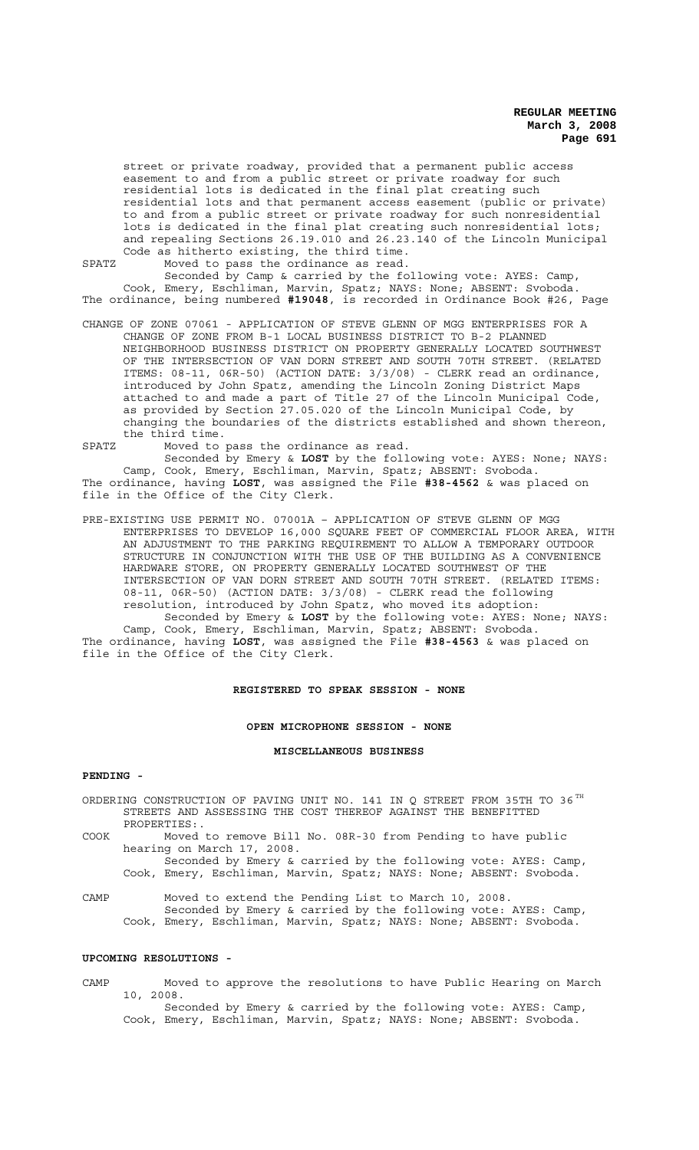street or private roadway, provided that a permanent public access easement to and from a public street or private roadway for such residential lots is dedicated in the final plat creating such residential lots and that permanent access easement (public or private) to and from a public street or private roadway for such nonresidential lots is dedicated in the final plat creating such nonresidential lots; and repealing Sections 26.19.010 and 26.23.140 of the Lincoln Municipal Code as hitherto existing, the third time.

SPATZ Moved to pass the ordinance as read.

Seconded by Camp & carried by the following vote: AYES: Camp, Cook, Emery, Eschliman, Marvin, Spatz; NAYS: None; ABSENT: Svoboda. The ordinance, being numbered **#19048**, is recorded in Ordinance Book #26, Page

- CHANGE OF ZONE 07061 APPLICATION OF STEVE GLENN OF MGG ENTERPRISES FOR A CHANGE OF ZONE FROM B-1 LOCAL BUSINESS DISTRICT TO B-2 PLANNED NEIGHBORHOOD BUSINESS DISTRICT ON PROPERTY GENERALLY LOCATED SOUTHWEST OF THE INTERSECTION OF VAN DORN STREET AND SOUTH 70TH STREET. (RELATED ITEMS: 08-11, 06R-50) (ACTION DATE: 3/3/08) - CLERK read an ordinance, introduced by John Spatz, amending the Lincoln Zoning District Maps attached to and made a part of Title 27 of the Lincoln Municipal Code, as provided by Section 27.05.020 of the Lincoln Municipal Code, by changing the boundaries of the districts established and shown thereon, the third time.
- SPATZ Moved to pass the ordinance as read.

Seconded by Emery & **LOST** by the following vote: AYES: None; NAYS: Camp, Cook, Emery, Eschliman, Marvin, Spatz; ABSENT: Svoboda. The ordinance, having **LOST**, was assigned the File **#38-4562** & was placed on file in the Office of the City Clerk.

PRE-EXISTING USE PERMIT NO. 07001A – APPLICATION OF STEVE GLENN OF MGG ENTERPRISES TO DEVELOP 16,000 SQUARE FEET OF COMMERCIAL FLOOR AREA, WITH AN ADJUSTMENT TO THE PARKING REQUIREMENT TO ALLOW A TEMPORARY OUTDOOR STRUCTURE IN CONJUNCTION WITH THE USE OF THE BUILDING AS A CONVENIENCE HARDWARE STORE, ON PROPERTY GENERALLY LOCATED SOUTHWEST OF THE INTERSECTION OF VAN DORN STREET AND SOUTH 70TH STREET. (RELATED ITEMS: 08-11, 06R-50) (ACTION DATE: 3/3/08) - CLERK read the following resolution, introduced by John Spatz, who moved its adoption:

Seconded by Emery & **LOST** by the following vote: AYES: None; NAYS: Camp, Cook, Emery, Eschliman, Marvin, Spatz; ABSENT: Svoboda. The ordinance, having **LOST**, was assigned the File **#38-4563** & was placed on file in the Office of the City Clerk.

## **REGISTERED TO SPEAK SESSION - NONE**

#### **OPEN MICROPHONE SESSION - NONE**

#### **MISCELLANEOUS BUSINESS**

## **PENDING -**

ORDERING CONSTRUCTION OF PAVING UNIT NO. 141 IN Q STREET FROM 35TH TO 36  $^{\text{TH}}$ STREETS AND ASSESSING THE COST THEREOF AGAINST THE BENEFITTED PROPERTIES:.

COOK Moved to remove Bill No. 08R-30 from Pending to have public hearing on March 17, 2008.

Seconded by Emery & carried by the following vote: AYES: Camp, Cook, Emery, Eschliman, Marvin, Spatz; NAYS: None; ABSENT: Svoboda.

CAMP Moved to extend the Pending List to March 10, 2008. Seconded by Emery & carried by the following vote: AYES: Camp, Cook, Emery, Eschliman, Marvin, Spatz; NAYS: None; ABSENT: Svoboda.

#### **UPCOMING RESOLUTIONS -**

CAMP Moved to approve the resolutions to have Public Hearing on March 10, 2008.

Seconded by Emery & carried by the following vote: AYES: Camp, Cook, Emery, Eschliman, Marvin, Spatz; NAYS: None; ABSENT: Svoboda.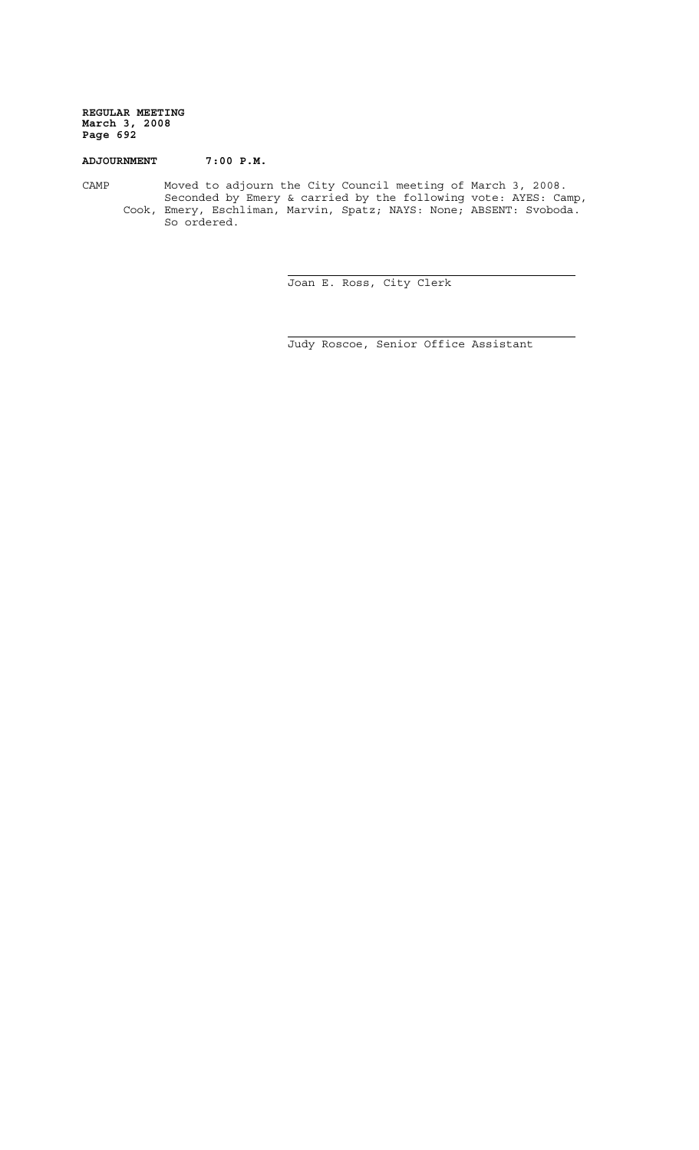# **ADJOURNMENT 7:00 P.M.**

CAMP Moved to adjourn the City Council meeting of March 3, 2008. Seconded by Emery & carried by the following vote: AYES: Camp, Cook, Emery, Eschliman, Marvin, Spatz; NAYS: None; ABSENT: Svoboda. So ordered.

i

j.

Joan E. Ross, City Clerk

Judy Roscoe, Senior Office Assistant